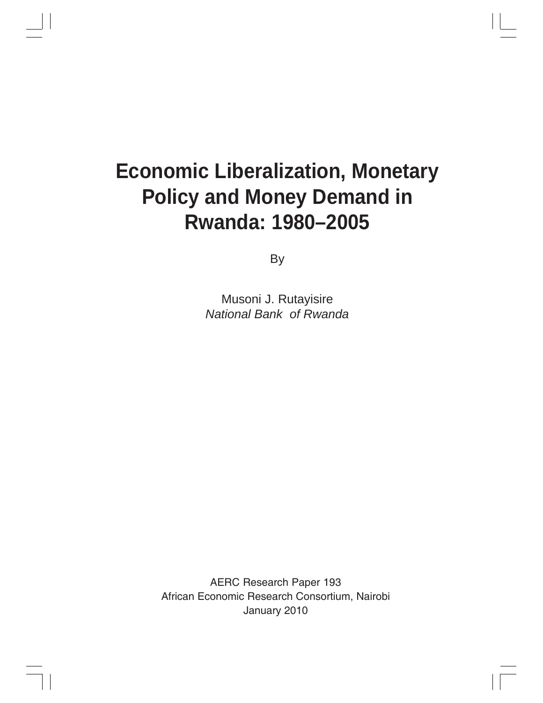# **Economic Liberalization, Monetary Policy and Money Demand in Rwanda: 1980–2005**

By

Musoni J. Rutayisire *National Bank of Rwanda*

AERC Research Paper 193 African Economic Research Consortium, Nairobi January 2010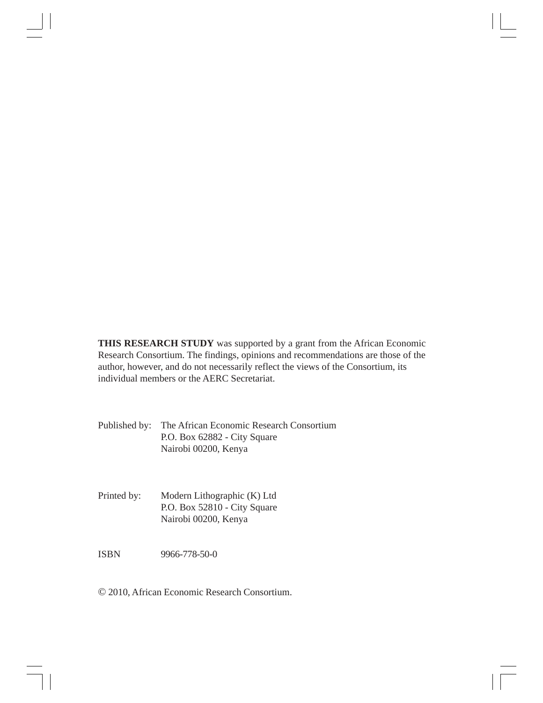**THIS RESEARCH STUDY** was supported by a grant from the African Economic Research Consortium. The findings, opinions and recommendations are those of the author, however, and do not necessarily reflect the views of the Consortium, its individual members or the AERC Secretariat.

Published by: The African Economic Research Consortium P.O. Box 62882 - City Square Nairobi 00200, Kenya

Printed by: Modern Lithographic (K) Ltd P.O. Box 52810 - City Square Nairobi 00200, Kenya

ISBN 9966-778-50-0

© 2010, African Economic Research Consortium.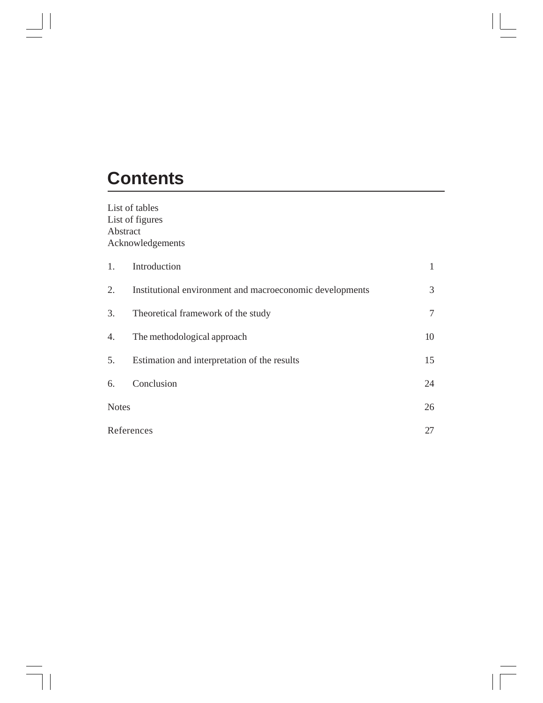## **Contents**

 $\vert \vert$ 

List of tables List of figures Abstract Acknowledgements

| 1.           | Introduction                                             |    |
|--------------|----------------------------------------------------------|----|
| 2.           | Institutional environment and macroeconomic developments | 3  |
| 3.           | Theoretical framework of the study                       | 7  |
| 4.           | The methodological approach                              | 10 |
| 5.           | Estimation and interpretation of the results             | 15 |
| 6.           | Conclusion                                               | 24 |
| <b>Notes</b> |                                                          | 26 |
|              | References                                               | 27 |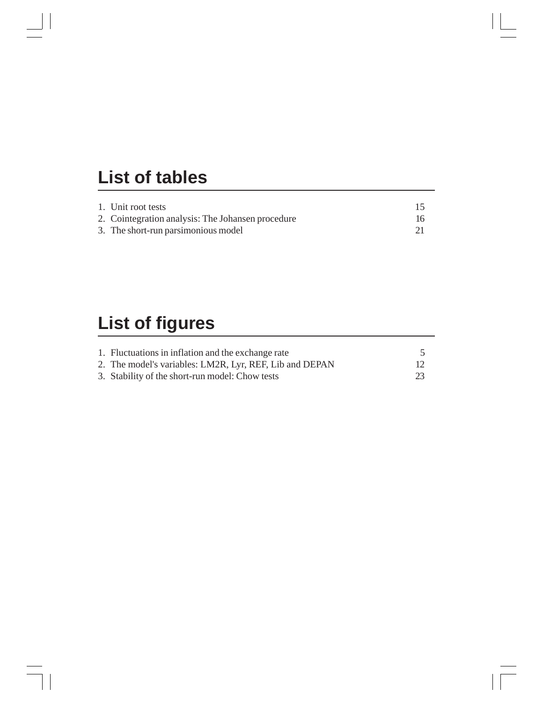## **List of tables**

| 1. Unit root tests                                |    |
|---------------------------------------------------|----|
| 2. Cointegration analysis: The Johansen procedure | 16 |
| 3. The short-run parsimonious model               |    |

# **List of figures**

| 1. Fluctuations in inflation and the exchange rate      |  |
|---------------------------------------------------------|--|
| 2. The model's variables: LM2R, Lyr, REF, Lib and DEPAN |  |
| 3. Stability of the short-run model: Chow tests         |  |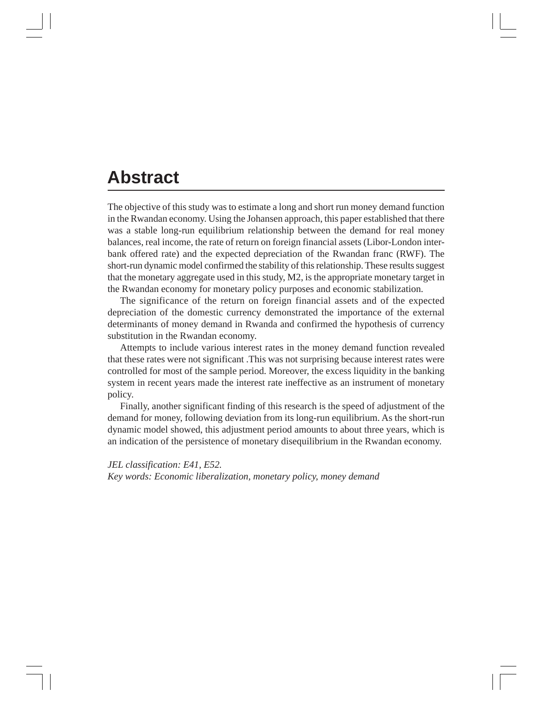### **Abstract**

The objective of this study was to estimate a long and short run money demand function in the Rwandan economy. Using the Johansen approach, this paper established that there was a stable long-run equilibrium relationship between the demand for real money balances, real income, the rate of return on foreign financial assets (Libor-London interbank offered rate) and the expected depreciation of the Rwandan franc (RWF). The short-run dynamic model confirmed the stability of this relationship. These results suggest that the monetary aggregate used in this study, M2, is the appropriate monetary target in the Rwandan economy for monetary policy purposes and economic stabilization.

The significance of the return on foreign financial assets and of the expected depreciation of the domestic currency demonstrated the importance of the external determinants of money demand in Rwanda and confirmed the hypothesis of currency substitution in the Rwandan economy.

Attempts to include various interest rates in the money demand function revealed that these rates were not significant .This was not surprising because interest rates were controlled for most of the sample period. Moreover, the excess liquidity in the banking system in recent years made the interest rate ineffective as an instrument of monetary policy.

Finally, another significant finding of this research is the speed of adjustment of the demand for money, following deviation from its long-run equilibrium. As the short-run dynamic model showed, this adjustment period amounts to about three years, which is an indication of the persistence of monetary disequilibrium in the Rwandan economy.

*JEL classification: E41, E52. Key words: Economic liberalization, monetary policy, money demand*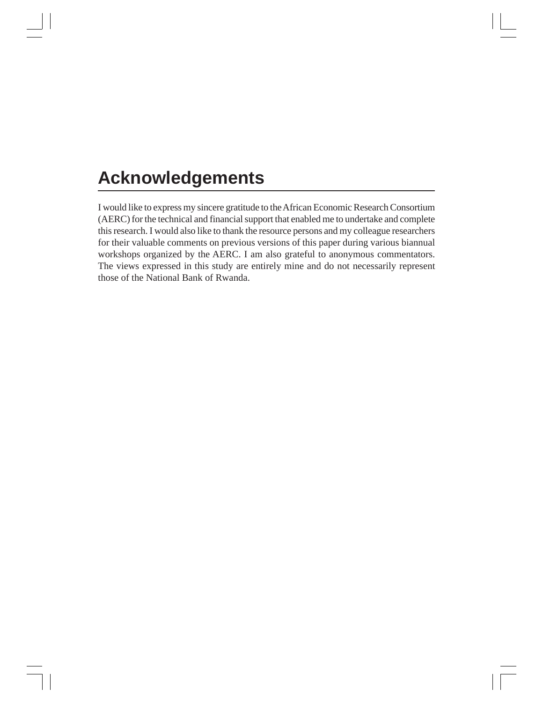## **Acknowledgements**

I would like to express my sincere gratitude to the African Economic Research Consortium (AERC) for the technical and financial support that enabled me to undertake and complete this research. I would also like to thank the resource persons and my colleague researchers for their valuable comments on previous versions of this paper during various biannual workshops organized by the AERC. I am also grateful to anonymous commentators. The views expressed in this study are entirely mine and do not necessarily represent those of the National Bank of Rwanda.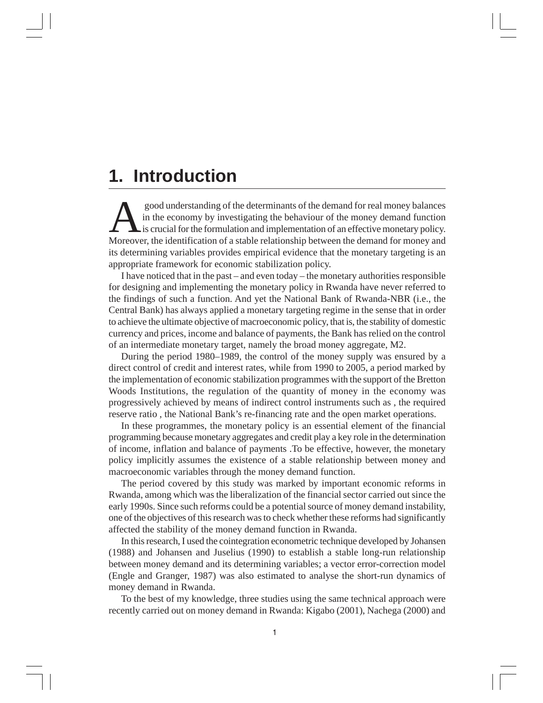### **1. Introduction**

Sood understanding of the determinants of the demand for real money balances<br>in the economy by investigating the behaviour of the money demand function<br>is crucial for the formulation and implementation of an effective mone in the economy by investigating the behaviour of the money demand function Moreover, the identification of a stable relationship between the demand for money and its determining variables provides empirical evidence that the monetary targeting is an appropriate framework for economic stabilization policy.

I have noticed that in the past – and even today – the monetary authorities responsible for designing and implementing the monetary policy in Rwanda have never referred to the findings of such a function. And yet the National Bank of Rwanda-NBR (i.e., the Central Bank) has always applied a monetary targeting regime in the sense that in order to achieve the ultimate objective of macroeconomic policy, that is, the stability of domestic currency and prices, income and balance of payments, the Bank has relied on the control of an intermediate monetary target, namely the broad money aggregate, M2.

During the period 1980–1989, the control of the money supply was ensured by a direct control of credit and interest rates, while from 1990 to 2005, a period marked by the implementation of economic stabilization programmes with the support of the Bretton Woods Institutions, the regulation of the quantity of money in the economy was progressively achieved by means of indirect control instruments such as , the required reserve ratio , the National Bank's re-financing rate and the open market operations.

In these programmes, the monetary policy is an essential element of the financial programming because monetary aggregates and credit play a key role in the determination of income, inflation and balance of payments .To be effective, however, the monetary policy implicitly assumes the existence of a stable relationship between money and macroeconomic variables through the money demand function.

The period covered by this study was marked by important economic reforms in Rwanda, among which was the liberalization of the financial sector carried out since the early 1990s. Since such reforms could be a potential source of money demand instability, one of the objectives of this research was to check whether these reforms had significantly affected the stability of the money demand function in Rwanda.

In this research, I used the cointegration econometric technique developed by Johansen (1988) and Johansen and Juselius (1990) to establish a stable long-run relationship between money demand and its determining variables; a vector error-correction model (Engle and Granger, 1987) was also estimated to analyse the short-run dynamics of money demand in Rwanda.

To the best of my knowledge, three studies using the same technical approach were recently carried out on money demand in Rwanda: Kigabo (2001), Nachega (2000) and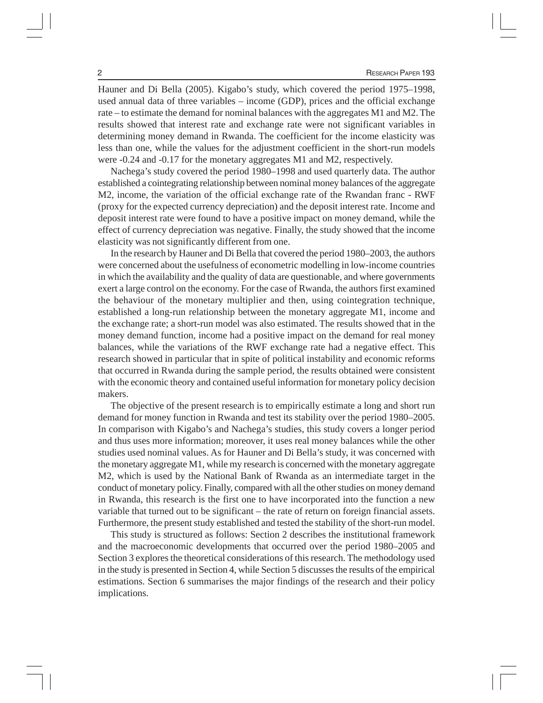Hauner and Di Bella (2005). Kigabo's study, which covered the period 1975–1998, used annual data of three variables – income (GDP), prices and the official exchange rate – to estimate the demand for nominal balances with the aggregates M1 and M2. The results showed that interest rate and exchange rate were not significant variables in determining money demand in Rwanda. The coefficient for the income elasticity was less than one, while the values for the adjustment coefficient in the short-run models were -0.24 and -0.17 for the monetary aggregates M1 and M2, respectively.

Nachega's study covered the period 1980–1998 and used quarterly data. The author established a cointegrating relationship between nominal money balances of the aggregate M2, income, the variation of the official exchange rate of the Rwandan franc - RWF (proxy for the expected currency depreciation) and the deposit interest rate. Income and deposit interest rate were found to have a positive impact on money demand, while the effect of currency depreciation was negative. Finally, the study showed that the income elasticity was not significantly different from one.

In the research by Hauner and Di Bella that covered the period 1980–2003, the authors were concerned about the usefulness of econometric modelling in low-income countries in which the availability and the quality of data are questionable, and where governments exert a large control on the economy. For the case of Rwanda, the authors first examined the behaviour of the monetary multiplier and then, using cointegration technique, established a long-run relationship between the monetary aggregate M1, income and the exchange rate; a short-run model was also estimated. The results showed that in the money demand function, income had a positive impact on the demand for real money balances, while the variations of the RWF exchange rate had a negative effect. This research showed in particular that in spite of political instability and economic reforms that occurred in Rwanda during the sample period, the results obtained were consistent with the economic theory and contained useful information for monetary policy decision makers.

The objective of the present research is to empirically estimate a long and short run demand for money function in Rwanda and test its stability over the period 1980–2005. In comparison with Kigabo's and Nachega's studies, this study covers a longer period and thus uses more information; moreover, it uses real money balances while the other studies used nominal values. As for Hauner and Di Bella's study, it was concerned with the monetary aggregate M1, while my research is concerned with the monetary aggregate M2, which is used by the National Bank of Rwanda as an intermediate target in the conduct of monetary policy. Finally, compared with all the other studies on money demand in Rwanda, this research is the first one to have incorporated into the function a new variable that turned out to be significant – the rate of return on foreign financial assets. Furthermore, the present study established and tested the stability of the short-run model.

This study is structured as follows: Section 2 describes the institutional framework and the macroeconomic developments that occurred over the period 1980–2005 and Section 3 explores the theoretical considerations of this research. The methodology used in the study is presented in Section 4, while Section 5 discusses the results of the empirical estimations. Section 6 summarises the major findings of the research and their policy implications.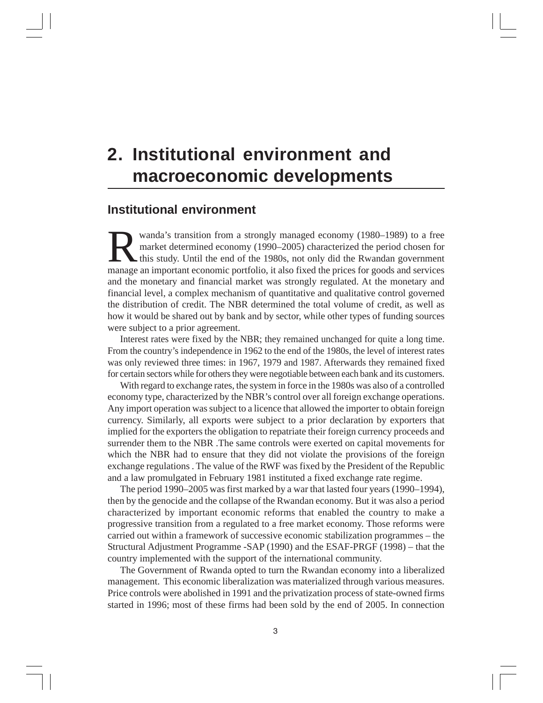## **2. Institutional environment and macroeconomic developments**

#### **Institutional environment**

Wanda's transition from a strongly managed economy (1980–1989) to a free<br>market determined economy (1990–2005) characterized the period chosen for<br>this study. Until the end of the 1980s, not only did the Rwandan government market determined economy (1990–2005) characterized the period chosen for manage an important economic portfolio, it also fixed the prices for goods and services and the monetary and financial market was strongly regulated. At the monetary and financial level, a complex mechanism of quantitative and qualitative control governed the distribution of credit. The NBR determined the total volume of credit, as well as how it would be shared out by bank and by sector, while other types of funding sources were subject to a prior agreement.

Interest rates were fixed by the NBR; they remained unchanged for quite a long time. From the country's independence in 1962 to the end of the 1980s, the level of interest rates was only reviewed three times: in 1967, 1979 and 1987. Afterwards they remained fixed for certain sectors while for others they were negotiable between each bank and its customers.

With regard to exchange rates, the system in force in the 1980s was also of a controlled economy type, characterized by the NBR's control over all foreign exchange operations. Any import operation was subject to a licence that allowed the importer to obtain foreign currency. Similarly, all exports were subject to a prior declaration by exporters that implied for the exporters the obligation to repatriate their foreign currency proceeds and surrender them to the NBR .The same controls were exerted on capital movements for which the NBR had to ensure that they did not violate the provisions of the foreign exchange regulations . The value of the RWF was fixed by the President of the Republic and a law promulgated in February 1981 instituted a fixed exchange rate regime.

The period 1990–2005 was first marked by a war that lasted four years (1990–1994), then by the genocide and the collapse of the Rwandan economy. But it was also a period characterized by important economic reforms that enabled the country to make a progressive transition from a regulated to a free market economy. Those reforms were carried out within a framework of successive economic stabilization programmes – the Structural Adjustment Programme -SAP (1990) and the ESAF-PRGF (1998) – that the country implemented with the support of the international community.

The Government of Rwanda opted to turn the Rwandan economy into a liberalized management. This economic liberalization was materialized through various measures. Price controls were abolished in 1991 and the privatization process of state-owned firms started in 1996; most of these firms had been sold by the end of 2005. In connection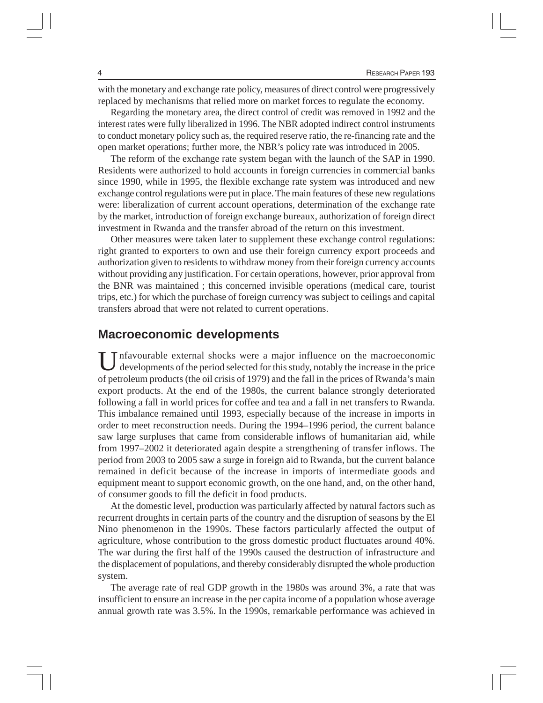with the monetary and exchange rate policy, measures of direct control were progressively replaced by mechanisms that relied more on market forces to regulate the economy.

Regarding the monetary area, the direct control of credit was removed in 1992 and the interest rates were fully liberalized in 1996. The NBR adopted indirect control instruments to conduct monetary policy such as, the required reserve ratio, the re-financing rate and the open market operations; further more, the NBR's policy rate was introduced in 2005.

The reform of the exchange rate system began with the launch of the SAP in 1990. Residents were authorized to hold accounts in foreign currencies in commercial banks since 1990, while in 1995, the flexible exchange rate system was introduced and new exchange control regulations were put in place. The main features of these new regulations were: liberalization of current account operations, determination of the exchange rate by the market, introduction of foreign exchange bureaux, authorization of foreign direct investment in Rwanda and the transfer abroad of the return on this investment.

Other measures were taken later to supplement these exchange control regulations: right granted to exporters to own and use their foreign currency export proceeds and authorization given to residents to withdraw money from their foreign currency accounts without providing any justification. For certain operations, however, prior approval from the BNR was maintained ; this concerned invisible operations (medical care, tourist trips, etc.) for which the purchase of foreign currency was subject to ceilings and capital transfers abroad that were not related to current operations.

#### **Macroeconomic developments**

Infavourable external shocks were a major influence on the macroeconomic developments of the period selected for this study, notably the increase in the price of petroleum products (the oil crisis of 1979) and the fall in the prices of Rwanda's main export products. At the end of the 1980s, the current balance strongly deteriorated following a fall in world prices for coffee and tea and a fall in net transfers to Rwanda. This imbalance remained until 1993, especially because of the increase in imports in order to meet reconstruction needs. During the 1994–1996 period, the current balance saw large surpluses that came from considerable inflows of humanitarian aid, while from 1997–2002 it deteriorated again despite a strengthening of transfer inflows. The period from 2003 to 2005 saw a surge in foreign aid to Rwanda, but the current balance remained in deficit because of the increase in imports of intermediate goods and equipment meant to support economic growth, on the one hand, and, on the other hand, of consumer goods to fill the deficit in food products.

At the domestic level, production was particularly affected by natural factors such as recurrent droughts in certain parts of the country and the disruption of seasons by the El Nino phenomenon in the 1990s. These factors particularly affected the output of agriculture, whose contribution to the gross domestic product fluctuates around 40%. The war during the first half of the 1990s caused the destruction of infrastructure and the displacement of populations, and thereby considerably disrupted the whole production system.

The average rate of real GDP growth in the 1980s was around 3%, a rate that was insufficient to ensure an increase in the per capita income of a population whose average annual growth rate was 3.5%. In the 1990s, remarkable performance was achieved in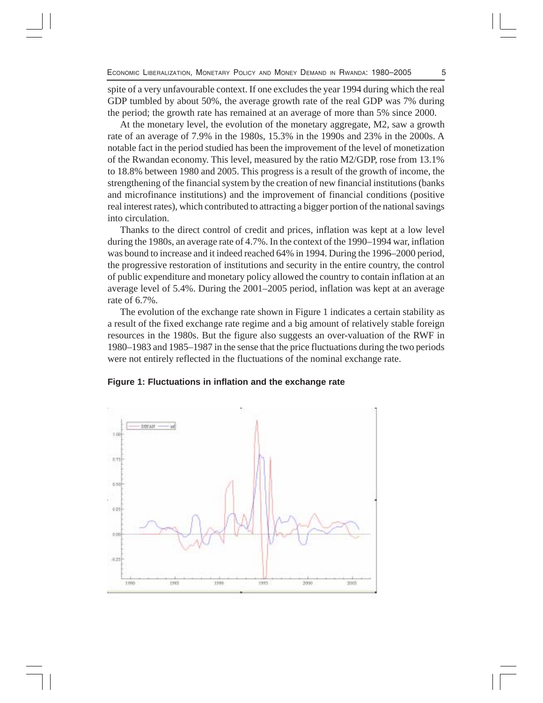spite of a very unfavourable context. If one excludes the year 1994 during which the real GDP tumbled by about 50%, the average growth rate of the real GDP was 7% during the period; the growth rate has remained at an average of more than 5% since 2000.

At the monetary level, the evolution of the monetary aggregate, M2, saw a growth rate of an average of 7.9% in the 1980s, 15.3% in the 1990s and 23% in the 2000s. A notable fact in the period studied has been the improvement of the level of monetization of the Rwandan economy. This level, measured by the ratio M2/GDP, rose from 13.1% to 18.8% between 1980 and 2005. This progress is a result of the growth of income, the strengthening of the financial system by the creation of new financial institutions (banks and microfinance institutions) and the improvement of financial conditions (positive real interest rates), which contributed to attracting a bigger portion of the national savings into circulation.

Thanks to the direct control of credit and prices, inflation was kept at a low level during the 1980s, an average rate of 4.7%. In the context of the 1990–1994 war, inflation was bound to increase and it indeed reached 64% in 1994. During the 1996–2000 period, the progressive restoration of institutions and security in the entire country, the control of public expenditure and monetary policy allowed the country to contain inflation at an average level of 5.4%. During the 2001–2005 period, inflation was kept at an average rate of 6.7%.

The evolution of the exchange rate shown in Figure 1 indicates a certain stability as a result of the fixed exchange rate regime and a big amount of relatively stable foreign resources in the 1980s. But the figure also suggests an over-valuation of the RWF in 1980–1983 and 1985–1987 in the sense that the price fluctuations during the two periods were not entirely reflected in the fluctuations of the nominal exchange rate.

#### **Figure 1: Fluctuations in inflation and the exchange rate**

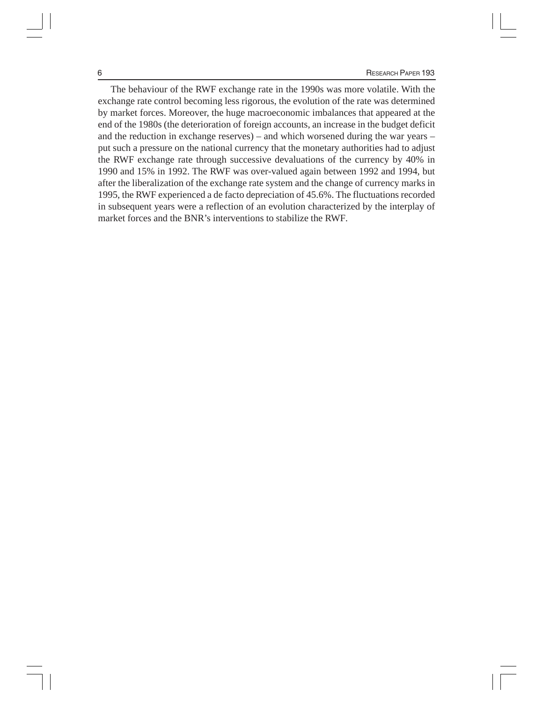The behaviour of the RWF exchange rate in the 1990s was more volatile. With the exchange rate control becoming less rigorous, the evolution of the rate was determined by market forces. Moreover, the huge macroeconomic imbalances that appeared at the end of the 1980s (the deterioration of foreign accounts, an increase in the budget deficit and the reduction in exchange reserves) – and which worsened during the war years – put such a pressure on the national currency that the monetary authorities had to adjust the RWF exchange rate through successive devaluations of the currency by 40% in 1990 and 15% in 1992. The RWF was over-valued again between 1992 and 1994, but after the liberalization of the exchange rate system and the change of currency marks in 1995, the RWF experienced a de facto depreciation of 45.6%. The fluctuations recorded in subsequent years were a reflection of an evolution characterized by the interplay of market forces and the BNR's interventions to stabilize the RWF*.*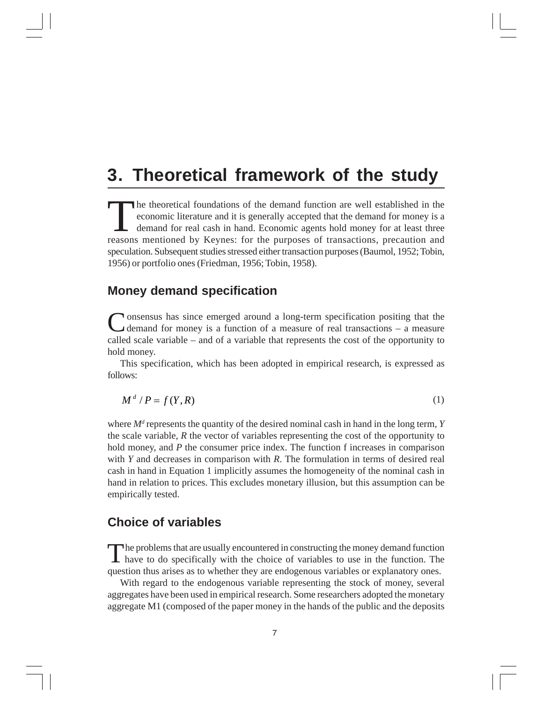## **3. Theoretical framework of the study**

The theoretical foundations of the demand function are well established in the economic literature and it is generally accepted that the demand for money is a demand for real cash in hand. Economic agents hold money for at least three reasons mentioned by Keynes: for the purposes of transactions, precaution and speculation. Subsequent studies stressed either transaction purposes (Baumol, 1952; Tobin, 1956) or portfolio ones (Friedman, 1956; Tobin, 1958).

#### **Money demand specification**

**N** onsensus has since emerged around a long-term specification positing that the demand for money is a function of a measure of real transactions – a measure called scale variable – and of a variable that represents the cost of the opportunity to hold money.

This specification, which has been adopted in empirical research, is expressed as follows:

$$
M^d / P = f(Y, R) \tag{1}
$$

where  $M<sup>d</sup>$  represents the quantity of the desired nominal cash in hand in the long term, *Y* the scale variable, *R* the vector of variables representing the cost of the opportunity to hold money, and *P* the consumer price index. The function f increases in comparison with *Y* and decreases in comparison with *R*. The formulation in terms of desired real cash in hand in Equation 1 implicitly assumes the homogeneity of the nominal cash in hand in relation to prices. This excludes monetary illusion, but this assumption can be empirically tested.

#### **Choice of variables**

The problems that are usually encountered in constructing the money demand function<br>have to do specifically with the choice of variables to use in the function. The question thus arises as to whether they are endogenous variables or explanatory ones.

With regard to the endogenous variable representing the stock of money, several aggregates have been used in empirical research. Some researchers adopted the monetary aggregate M1 (composed of the paper money in the hands of the public and the deposits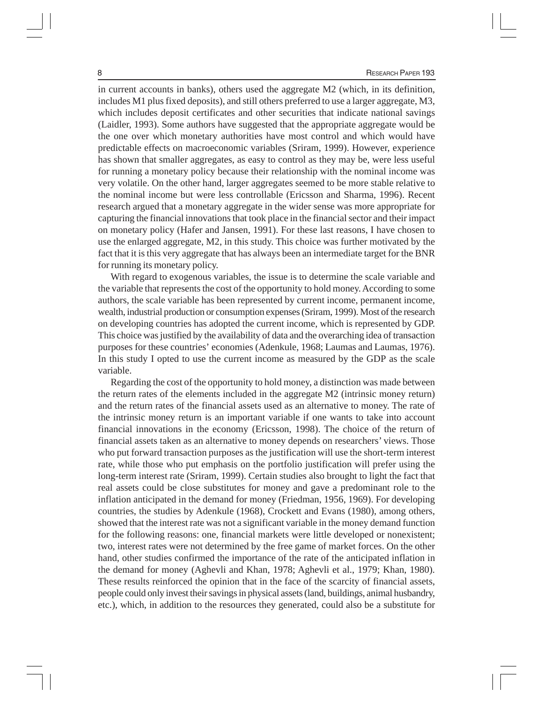in current accounts in banks), others used the aggregate M2 (which, in its definition, includes M1 plus fixed deposits), and still others preferred to use a larger aggregate, M3, which includes deposit certificates and other securities that indicate national savings (Laidler, 1993). Some authors have suggested that the appropriate aggregate would be the one over which monetary authorities have most control and which would have predictable effects on macroeconomic variables (Sriram, 1999). However, experience has shown that smaller aggregates, as easy to control as they may be, were less useful for running a monetary policy because their relationship with the nominal income was very volatile. On the other hand, larger aggregates seemed to be more stable relative to the nominal income but were less controllable (Ericsson and Sharma, 1996). Recent research argued that a monetary aggregate in the wider sense was more appropriate for capturing the financial innovations that took place in the financial sector and their impact on monetary policy (Hafer and Jansen, 1991). For these last reasons, I have chosen to use the enlarged aggregate, M2, in this study. This choice was further motivated by the fact that it is this very aggregate that has always been an intermediate target for the BNR for running its monetary policy.

With regard to exogenous variables, the issue is to determine the scale variable and the variable that represents the cost of the opportunity to hold money. According to some authors, the scale variable has been represented by current income, permanent income, wealth, industrial production or consumption expenses (Sriram, 1999). Most of the research on developing countries has adopted the current income, which is represented by GDP. This choice was justified by the availability of data and the overarching idea of transaction purposes for these countries' economies (Adenkule, 1968; Laumas and Laumas, 1976). In this study I opted to use the current income as measured by the GDP as the scale variable.

Regarding the cost of the opportunity to hold money, a distinction was made between the return rates of the elements included in the aggregate M2 (intrinsic money return) and the return rates of the financial assets used as an alternative to money. The rate of the intrinsic money return is an important variable if one wants to take into account financial innovations in the economy (Ericsson, 1998). The choice of the return of financial assets taken as an alternative to money depends on researchers' views. Those who put forward transaction purposes as the justification will use the short-term interest rate, while those who put emphasis on the portfolio justification will prefer using the long-term interest rate (Sriram, 1999). Certain studies also brought to light the fact that real assets could be close substitutes for money and gave a predominant role to the inflation anticipated in the demand for money (Friedman, 1956, 1969). For developing countries, the studies by Adenkule (1968), Crockett and Evans (1980), among others, showed that the interest rate was not a significant variable in the money demand function for the following reasons: one, financial markets were little developed or nonexistent; two, interest rates were not determined by the free game of market forces. On the other hand, other studies confirmed the importance of the rate of the anticipated inflation in the demand for money (Aghevli and Khan, 1978; Aghevli et al., 1979; Khan, 1980). These results reinforced the opinion that in the face of the scarcity of financial assets, people could only invest their savings in physical assets (land, buildings, animal husbandry, etc.), which, in addition to the resources they generated, could also be a substitute for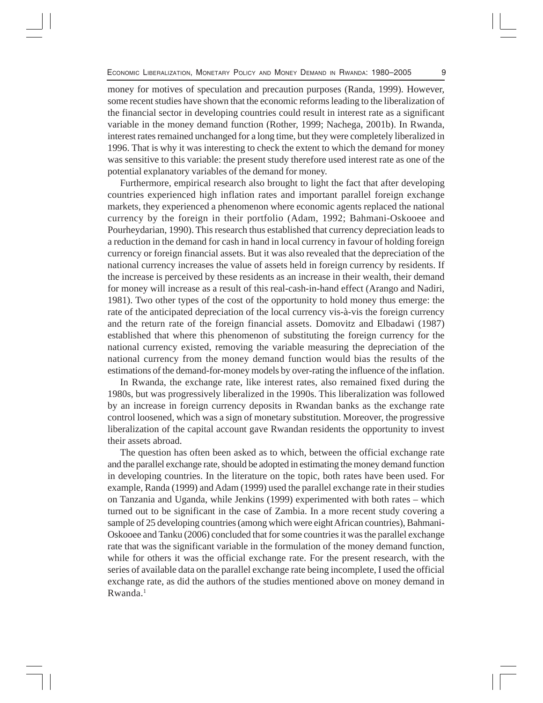money for motives of speculation and precaution purposes (Randa, 1999). However, some recent studies have shown that the economic reforms leading to the liberalization of the financial sector in developing countries could result in interest rate as a significant variable in the money demand function (Rother, 1999; Nachega, 2001b). In Rwanda, interest rates remained unchanged for a long time, but they were completely liberalized in 1996. That is why it was interesting to check the extent to which the demand for money was sensitive to this variable: the present study therefore used interest rate as one of the potential explanatory variables of the demand for money.

Furthermore, empirical research also brought to light the fact that after developing countries experienced high inflation rates and important parallel foreign exchange markets, they experienced a phenomenon where economic agents replaced the national currency by the foreign in their portfolio (Adam, 1992; Bahmani-Oskooee and Pourheydarian, 1990). This research thus established that currency depreciation leads to a reduction in the demand for cash in hand in local currency in favour of holding foreign currency or foreign financial assets. But it was also revealed that the depreciation of the national currency increases the value of assets held in foreign currency by residents. If the increase is perceived by these residents as an increase in their wealth, their demand for money will increase as a result of this real-cash-in-hand effect (Arango and Nadiri, 1981). Two other types of the cost of the opportunity to hold money thus emerge: the rate of the anticipated depreciation of the local currency vis-à-vis the foreign currency and the return rate of the foreign financial assets. Domovitz and Elbadawi (1987) established that where this phenomenon of substituting the foreign currency for the national currency existed, removing the variable measuring the depreciation of the national currency from the money demand function would bias the results of the estimations of the demand-for-money models by over-rating the influence of the inflation.

In Rwanda, the exchange rate, like interest rates, also remained fixed during the 1980s, but was progressively liberalized in the 1990s. This liberalization was followed by an increase in foreign currency deposits in Rwandan banks as the exchange rate control loosened, which was a sign of monetary substitution. Moreover, the progressive liberalization of the capital account gave Rwandan residents the opportunity to invest their assets abroad.

The question has often been asked as to which, between the official exchange rate and the parallel exchange rate, should be adopted in estimating the money demand function in developing countries. In the literature on the topic, both rates have been used. For example, Randa (1999) and Adam (1999) used the parallel exchange rate in their studies on Tanzania and Uganda, while Jenkins (1999) experimented with both rates – which turned out to be significant in the case of Zambia. In a more recent study covering a sample of 25 developing countries (among which were eight African countries), Bahmani-Oskooee and Tanku (2006) concluded that for some countries it was the parallel exchange rate that was the significant variable in the formulation of the money demand function, while for others it was the official exchange rate. For the present research, with the series of available data on the parallel exchange rate being incomplete, I used the official exchange rate, as did the authors of the studies mentioned above on money demand in Rwanda.<sup>1</sup>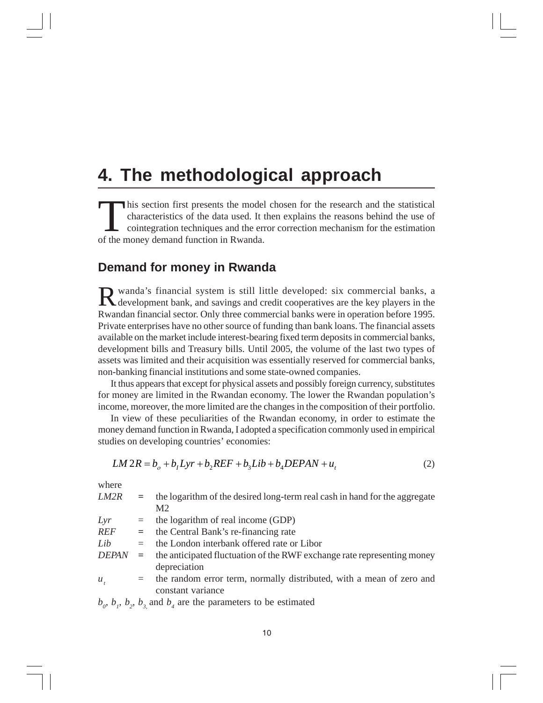### **4. The methodological approach**

This section first presents the model chosen for the research and the statistical characteristics of the data used. It then explains the reasons behind the use of cointegration techniques and the error correction mechanism characteristics of the data used. It then explains the reasons behind the use of of the money demand function in Rwanda.

### **Demand for money in Rwanda**

R wanda's financial system is still little developed: six commercial banks, a development bank, and savings and credit cooperatives are the key players in the Rwandan financial sector. Only three commercial banks were in operation before 1995. Private enterprises have no other source of funding than bank loans. The financial assets available on the market include interest-bearing fixed term deposits in commercial banks, development bills and Treasury bills. Until 2005, the volume of the last two types of assets was limited and their acquisition was essentially reserved for commercial banks, non-banking financial institutions and some state-owned companies.

It thus appears that except for physical assets and possibly foreign currency, substitutes for money are limited in the Rwandan economy. The lower the Rwandan population's income, moreover, the more limited are the changes in the composition of their portfolio.

In view of these peculiarities of the Rwandan economy, in order to estimate the money demand function in Rwanda, I adopted a specification commonly used in empirical studies on developing countries' economies:

$$
LM 2R = bo + b1Lyr + b2REF + b3Lib + b4DEPAN + ut
$$
 (2)

where

| LM2R         | $=$ | the logarithm of the desired long-term real cash in hand for the aggregate |  |  |  |  |
|--------------|-----|----------------------------------------------------------------------------|--|--|--|--|
|              |     | M <sub>2</sub>                                                             |  |  |  |  |
| Lyr          | $=$ | the logarithm of real income (GDP)                                         |  |  |  |  |
| <b>REF</b>   | $=$ | the Central Bank's re-financing rate                                       |  |  |  |  |
| Lib          | $=$ | the London interbank offered rate or Libor                                 |  |  |  |  |
| <b>DEPAN</b> | $=$ | the anticipated fluctuation of the RWF exchange rate representing money    |  |  |  |  |
|              |     | depreciation                                                               |  |  |  |  |
| $u_{\mu}$    | $=$ | the random error term, normally distributed, with a mean of zero and       |  |  |  |  |
|              |     | constant variance                                                          |  |  |  |  |
|              |     |                                                                            |  |  |  |  |

 $b_{\rho}$ ,  $b_{\rho}$ ,  $b_{\rho}$ ,  $b_{\rho}$  and  $b_{\mu}$  are the parameters to be estimated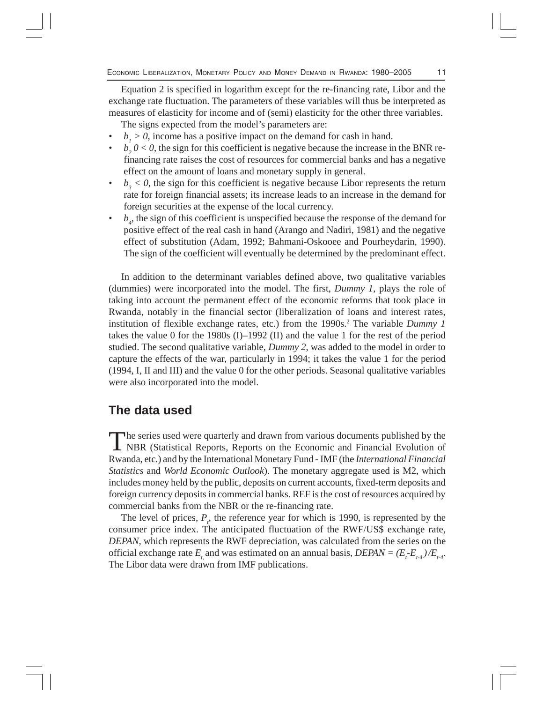Equation 2 is specified in logarithm except for the re-financing rate, Libor and the exchange rate fluctuation. The parameters of these variables will thus be interpreted as measures of elasticity for income and of (semi) elasticity for the other three variables. The signs expected from the model's parameters are:

•  $b_1 > 0$ , income has a positive impact on the demand for cash in hand.

- $b_2$   $0 < 0$ , the sign for this coefficient is negative because the increase in the BNR refinancing rate raises the cost of resources for commercial banks and has a negative effect on the amount of loans and monetary supply in general.
- $b_3 < 0$ , the sign for this coefficient is negative because Libor represents the return rate for foreign financial assets; its increase leads to an increase in the demand for foreign securities at the expense of the local currency.
- $\cdot$  *b<sub>4</sub>*, the sign of this coefficient is unspecified because the response of the demand for positive effect of the real cash in hand (Arango and Nadiri, 1981) and the negative effect of substitution (Adam, 1992; Bahmani-Oskooee and Pourheydarin, 1990). The sign of the coefficient will eventually be determined by the predominant effect.

In addition to the determinant variables defined above, two qualitative variables (dummies) were incorporated into the model. The first, *Dummy 1*, plays the role of taking into account the permanent effect of the economic reforms that took place in Rwanda, notably in the financial sector (liberalization of loans and interest rates, institution of flexible exchange rates, etc.) from the 1990s.<sup>2</sup> The variable *Dummy 1* takes the value 0 for the 1980s (I)–1992 (II) and the value 1 for the rest of the period studied. The second qualitative variable, *Dummy 2*, was added to the model in order to capture the effects of the war, particularly in 1994; it takes the value 1 for the period (1994, I, II and III) and the value 0 for the other periods. Seasonal qualitative variables were also incorporated into the model.

#### **The data used**

The series used were quarterly and drawn from various documents published by the NBR (Statistical Reports, Reports on the Economic and Financial Evolution of Rwanda, etc.) and by the International Monetary Fund - IMF (the *International Financial Statistics* and *World Economic Outlook*). The monetary aggregate used is M2, which includes money held by the public, deposits on current accounts, fixed-term deposits and foreign currency deposits in commercial banks. REF is the cost of resources acquired by commercial banks from the NBR or the re-financing rate.

The level of prices,  $P_t$ , the reference year for which is 1990, is represented by the consumer price index. The anticipated fluctuation of the RWF/US\$ exchange rate, *DEPAN*, which represents the RWF depreciation, was calculated from the series on the official exchange rate  $E_{t}$  and was estimated on an annual basis,  $DEPAN = (E_t - E_{t-4})/E_{t-4}$ . The Libor data were drawn from IMF publications.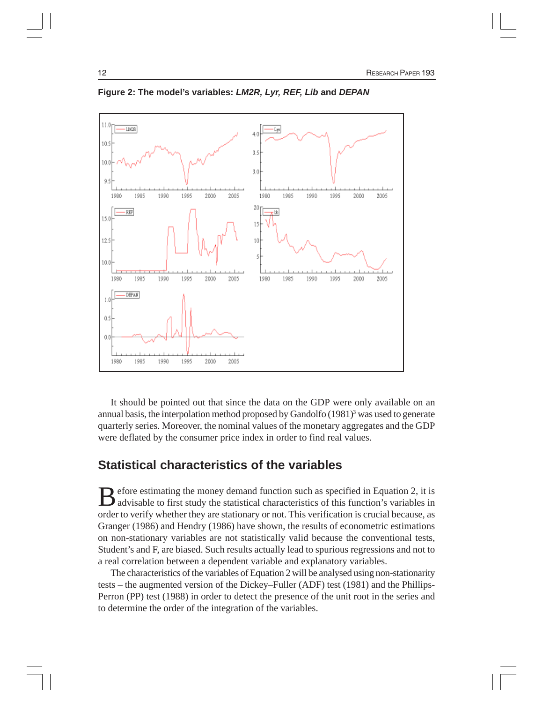

**Figure 2: The model's variables:** *LM2R, Lyr, REF, Lib* **and** *DEPAN*

It should be pointed out that since the data on the GDP were only available on an annual basis, the interpolation method proposed by Gandolfo  $(1981)^3$  was used to generate quarterly series. Moreover, the nominal values of the monetary aggregates and the GDP were deflated by the consumer price index in order to find real values.

### **Statistical characteristics of the variables**

Before estimating the money demand function such as specified in Equation 2, it is advisable to first study the statistical characteristics of this function's variables in order to verify whether they are stationary or not. This verification is crucial because, as Granger (1986) and Hendry (1986) have shown, the results of econometric estimations on non-stationary variables are not statistically valid because the conventional tests, Student's and F, are biased. Such results actually lead to spurious regressions and not to a real correlation between a dependent variable and explanatory variables.

The characteristics of the variables of Equation 2 will be analysed using non-stationarity tests – the augmented version of the Dickey–Fuller (ADF) test (1981) and the Phillips-Perron (PP) test (1988) in order to detect the presence of the unit root in the series and to determine the order of the integration of the variables.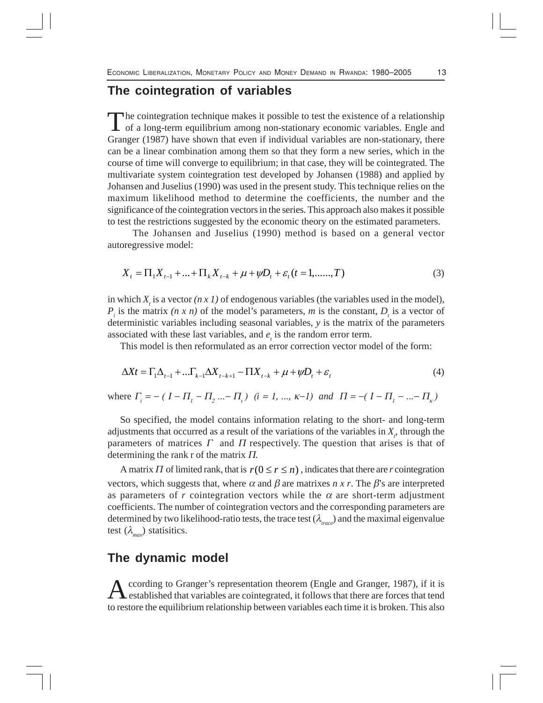### **The cointegration of variables**

The cointegration technique makes it possible to test the existence of a relationship<br>of a long-term equilibrium among non-stationary economic variables. Engle and Granger (1987) have shown that even if individual variables are non-stationary, there can be a linear combination among them so that they form a new series, which in the course of time will converge to equilibrium; in that case, they will be cointegrated. The multivariate system cointegration test developed by Johansen (1988) and applied by Johansen and Juselius (1990) was used in the present study. This technique relies on the maximum likelihood method to determine the coefficients, the number and the significance of the cointegration vectors in the series. This approach also makes it possible to test the restrictions suggested by the economic theory on the estimated parameters.

The Johansen and Juselius (1990) method is based on a general vector autoregressive model:

$$
X_{t} = \Pi_{1} X_{t-1} + \dots + \Pi_{k} X_{t-k} + \mu + \psi D_{t} + \varepsilon_{t} (t = 1, \dots, T)
$$
\n(3)

in which  $X<sub>t</sub>$  is a vector  $(n \times 1)$  of endogenous variables (the variables used in the model),  $P_i$  is the matrix  $(n \times n)$  of the model's parameters, *m* is the constant,  $D_i$  is a vector of deterministic variables including seasonal variables, *y* is the matrix of the parameters associated with these last variables, and  $e_t$  is the random error term.

This model is then reformulated as an error correction vector model of the form:

$$
\Delta X t = \Gamma_1 \Delta_{t-1} + \dots \Gamma_{k-1} \Delta X_{t-k+1} - \Pi X_{t-k} + \mu + \psi D_t + \varepsilon_t
$$
\n<sup>(4)</sup>

where  $\Gamma_i = - (I - \Pi_1 - \Pi_2 - \Pi_1)$   $(i = 1, ..., k-1)$  and  $\Pi = -(I - \Pi_1 - ... - \Pi_k)$ 

So specified, the model contains information relating to the short- and long-term adjustments that occurred as a result of the variations of the variables in  $X_t$ , through the parameters of matrices  $\Gamma$  and  $\Pi$  respectively. The question that arises is that of determining the rank r of the matrix Π.

A matrix  $\Pi$  of limited rank, that is  $r(0 \le r \le n)$ , indicates that there are *r* cointegration vectors, which suggests that, where  $\alpha$  and  $\beta$  are matrixes *n x r*. The  $\beta$ 's are interpreted as parameters of *r* cointegration vectors while the  $\alpha$  are short-term adjustment coefficients. The number of cointegration vectors and the corresponding parameters are determined by two likelihood-ratio tests, the trace test (λ*trace*) and the maximal eigenvalue test  $(\lambda_{\text{max}})$  statisitics.

#### **The dynamic model**

According to Granger's representation theorem (Engle and Granger, 1987), if it is established that variables are cointegrated, it follows that there are forces that tend to restore the equilibrium relationship between variables each time it is broken. This also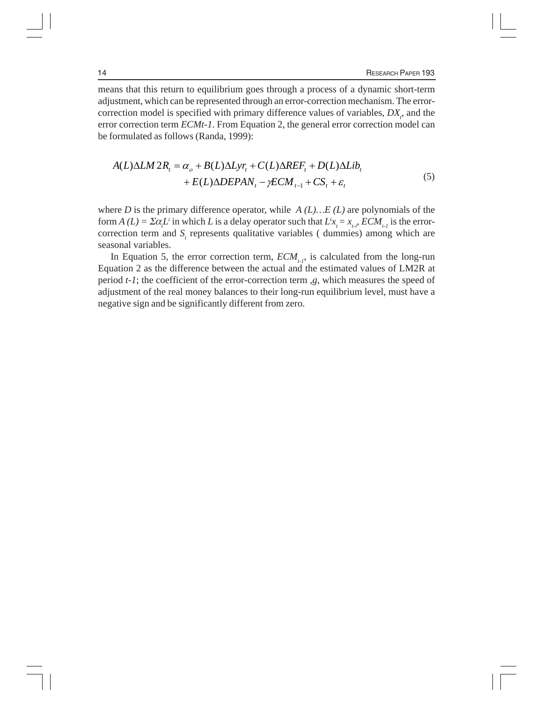means that this return to equilibrium goes through a process of a dynamic short-term adjustment, which can be represented through an error-correction mechanism. The errorcorrection model is specified with primary difference values of variables,  $DX$ <sub> $i$ </sub>, and the error correction term *ECMt-1*. From Equation 2, the general error correction model can be formulated as follows (Randa, 1999):

$$
A(L)\Delta LM \, 2R_t = \alpha_o + B(L)\Delta Lyr_t + C(L)\Delta REF_t + D(L)\Delta Lib_t + E(L)\Delta DEPAN_t - \gamma ECM_{t-1} + CS_t + \varepsilon_t
$$
\n<sup>(5)</sup>

where *D* is the primary difference operator, while *A (L)…E (L)* are polynomials of the form  $A(L) = \sum \alpha_i L^i$  in which *L* is a delay operator such that  $L^i x_i = x_{i,i} ECM_{i,i}$  is the errorcorrection term and  $S<sub>t</sub>$  represents qualitative variables ( dummies) among which are seasonal variables.

In Equation 5, the error correction term,  $ECM_{t,p}$  is calculated from the long-run Equation 2 as the difference between the actual and the estimated values of LM2R at period *t-1*; the coefficient of the error-correction term ,*g*, which measures the speed of adjustment of the real money balances to their long-run equilibrium level, must have a negative sign and be significantly different from zero.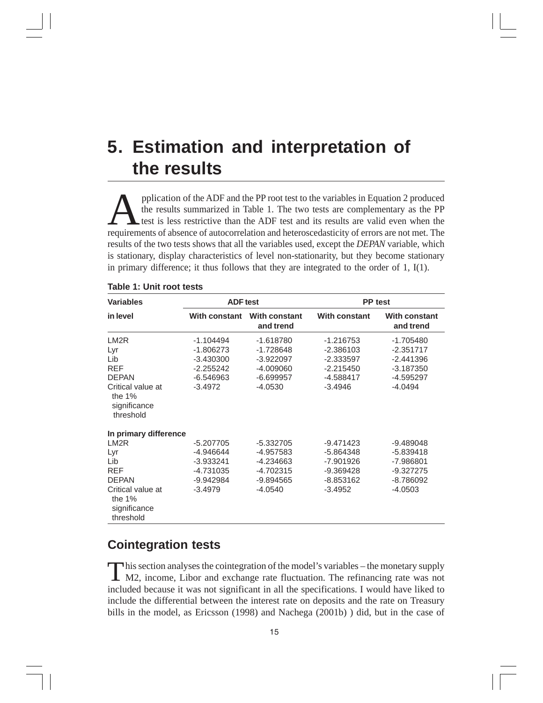## **5. Estimation and interpretation of the results**

pplication of the ADF and the PP root test to the variables in Equation 2 produced<br>the results summarized in Table 1. The two tests are complementary as the PP<br>requirements of absence of autocorrelation and heteroscedastic the results summarized in Table 1. The two tests are complementary as the PP test is less restrictive than the ADF test and its results are valid even when the requirements of absence of autocorrelation and heteroscedasticity of errors are not met. The results of the two tests shows that all the variables used, except the *DEPAN* variable, which is stationary, display characteristics of level non-stationarity, but they become stationary in primary difference; it thus follows that they are integrated to the order of 1,  $I(1)$ .

| <b>Variables</b>                                                                                                                                     | <b>ADF</b> test                                                                      |                                                                                | <b>PP</b> test                                                                     |                                                                                    |  |  |
|------------------------------------------------------------------------------------------------------------------------------------------------------|--------------------------------------------------------------------------------------|--------------------------------------------------------------------------------|------------------------------------------------------------------------------------|------------------------------------------------------------------------------------|--|--|
| in level                                                                                                                                             | With constant                                                                        | <b>With constant</b><br>and trend                                              | <b>With constant</b>                                                               | <b>With constant</b><br>and trend                                                  |  |  |
| LM <sub>2</sub> R<br>Lyr<br>Lib<br><b>REF</b><br><b>DEPAN</b><br>Critical value at<br>the $1%$<br>significance<br>threshold                          | $-1.104494$<br>$-1.806273$<br>$-3.430300$<br>$-2.255242$<br>$-6.546963$<br>$-3.4972$ | $-1.618780$<br>-1.728648<br>$-3.922097$<br>-4.009060<br>$-6.699957$<br>-4.0530 | $-1.216753$<br>$-2.386103$<br>$-2.333597$<br>$-2.215450$<br>-4.588417<br>$-3.4946$ | $-1.705480$<br>$-2.351717$<br>$-2.441396$<br>$-3.187350$<br>-4.595297<br>-4.0494   |  |  |
| In primary difference<br>LM <sub>2</sub> R<br>Lyr<br>Lib<br><b>REF</b><br><b>DEPAN</b><br>Critical value at<br>the $1%$<br>significance<br>threshold | $-5.207705$<br>-4.946644<br>$-3.933241$<br>-4.731035<br>-9.942984<br>$-3.4979$       | -5.332705<br>-4.957583<br>-4.234663<br>-4.702315<br>-9.894565<br>$-4.0540$     | $-9.471423$<br>-5.864348<br>-7.901926<br>$-9.369428$<br>$-8.853162$<br>$-3.4952$   | $-9.489048$<br>$-5.839418$<br>$-7.986801$<br>$-9.327275$<br>-8.786092<br>$-4.0503$ |  |  |

#### **Table 1: Unit root tests**

### **Cointegration tests**

This section analyses the cointegration of the model's variables – the monetary supply M2, income, Libor and exchange rate fluctuation. The refinancing rate was not included because it was not significant in all the specifications. I would have liked to include the differential between the interest rate on deposits and the rate on Treasury bills in the model, as Ericsson (1998) and Nachega (2001b) ) did, but in the case of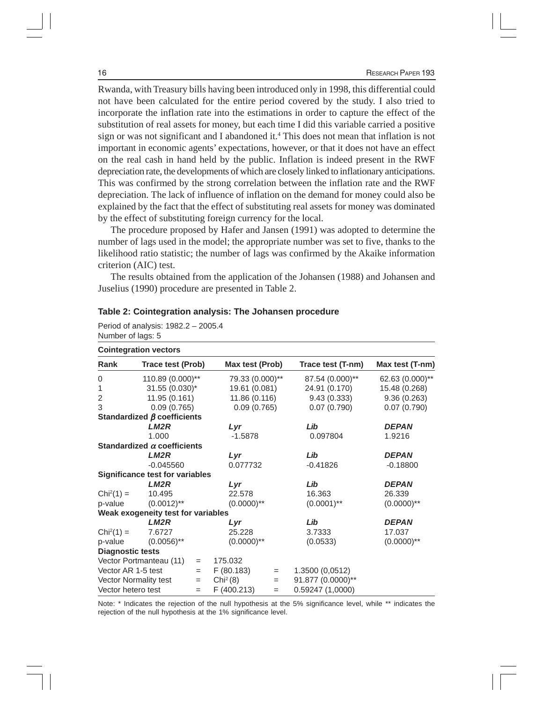Rwanda, with Treasury bills having been introduced only in 1998, this differential could not have been calculated for the entire period covered by the study. I also tried to incorporate the inflation rate into the estimations in order to capture the effect of the substitution of real assets for money, but each time I did this variable carried a positive sign or was not significant and I abandoned it.4 This does not mean that inflation is not important in economic agents' expectations, however, or that it does not have an effect on the real cash in hand held by the public. Inflation is indeed present in the RWF depreciation rate, the developments of which are closely linked to inflationary anticipations. This was confirmed by the strong correlation between the inflation rate and the RWF depreciation. The lack of influence of inflation on the demand for money could also be explained by the fact that the effect of substituting real assets for money was dominated by the effect of substituting foreign currency for the local.

The procedure proposed by Hafer and Jansen (1991) was adopted to determine the number of lags used in the model; the appropriate number was set to five, thanks to the likelihood ratio statistic; the number of lags was confirmed by the Akaike information criterion (AIC) test.

The results obtained from the application of the Johansen (1988) and Johansen and Juselius (1990) procedure are presented in Table 2.

| <b>Cointegration vectors</b> |                                        |               |                      |          |                   |                 |  |
|------------------------------|----------------------------------------|---------------|----------------------|----------|-------------------|-----------------|--|
| Rank                         | Trace test (Prob)                      |               | Max test (Prob)      |          | Trace test (T-nm) | Max test (T-nm) |  |
| 0                            | 110.89 (0.000)**                       |               | 79.33 (0.000)**      |          | 87.54 (0.000)**   | 62.63 (0.000)** |  |
| 1                            | $31.55(0.030)^{*}$                     |               | 19.61 (0.081)        |          | 24.91 (0.170)     | 15.48 (0.268)   |  |
| $\sqrt{2}$                   | 11.95 (0.161)                          |               | 11.86 (0.116)        |          | 9.43(0.333)       | 9.36(0.263)     |  |
| 3                            | 0.09(0.765)                            |               | 0.09(0.765)          |          | 0.07(0.790)       | 0.07(0.790)     |  |
|                              | Standardized $\beta$ coefficients      |               |                      |          |                   |                 |  |
|                              | LM <sub>2</sub> R                      |               | Lyr                  |          | Lib               | <b>DEPAN</b>    |  |
|                              | 1.000                                  |               | $-1.5878$            |          | 0.097804          | 1.9216          |  |
|                              | Standardized $\alpha$ coefficients     |               |                      |          |                   |                 |  |
|                              | LM2R                                   |               | Lyr                  |          | Lib               | <b>DEPAN</b>    |  |
|                              | $-0.045560$                            |               | 0.077732             |          | $-0.41826$        | $-0.18800$      |  |
|                              | <b>Significance test for variables</b> |               |                      |          |                   |                 |  |
|                              | LM2R                                   |               | Lyr                  |          | Lib               | <b>DEPAN</b>    |  |
| $Chi^{2}(1) =$               | 10.495                                 |               | 22.578               |          | 16.363            | 26.339          |  |
| p-value                      | $(0.0012)$ **                          |               | $(0.0000)$ **        |          | $(0.0001)$ **     | $(0.0000)$ **   |  |
|                              | Weak exogeneity test for variables     |               |                      |          |                   |                 |  |
|                              | LM2R                                   |               | Lyr                  |          | Lib               | <b>DEPAN</b>    |  |
| $Chi^{2}(1) =$               | 7.6727                                 |               | 25.228               |          | 3.7333            | 17.037          |  |
| $(0.0056)$ **<br>p-value     |                                        | $(0.0000)$ ** |                      | (0.0533) | $(0.0000)$ **     |                 |  |
| <b>Diagnostic tests</b>      |                                        |               |                      |          |                   |                 |  |
| Vector Portmanteau (11)      |                                        | $\equiv$      | 175.032              |          |                   |                 |  |
| Vector AR 1-5 test           |                                        | $=$           | F(80.183)            | $=$      | 1.3500 (0,0512)   |                 |  |
|                              | Vector Normality test                  | $=$           | Chi <sup>2</sup> (8) | $=$      | 91.877 (0.0000)** |                 |  |
| Vector hetero test           |                                        | $=$           | F (400.213)          | $=$      | 0.59247(1,0000)   |                 |  |

**Table 2: Cointegration analysis: The Johansen procedure**

Period of analysis: 1982.2 – 2005.4 Number of lags: 5

Note: \* Indicates the rejection of the null hypothesis at the 5% significance level, while \*\* indicates the rejection of the null hypothesis at the 1% significance level.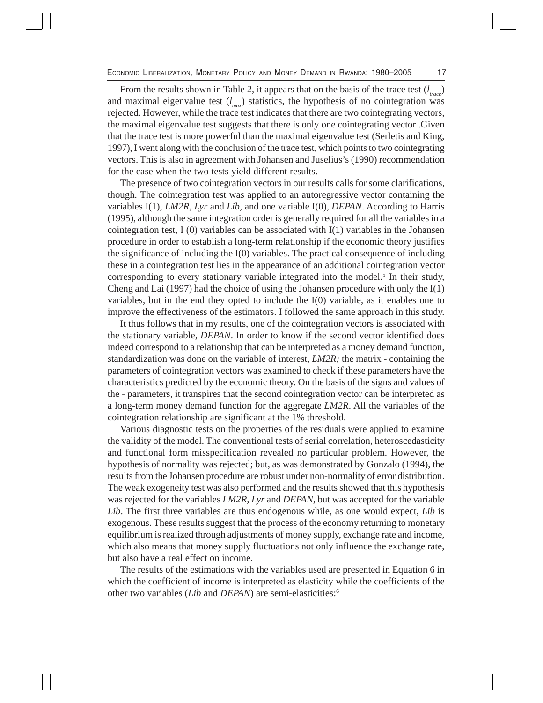From the results shown in Table 2, it appears that on the basis of the trace test (*l trace*) and maximal eigenvalue test  $(l_{max})$  statistics, the hypothesis of no cointegration was rejected. However, while the trace test indicates that there are two cointegrating vectors, the maximal eigenvalue test suggests that there is only one cointegrating vector .Given that the trace test is more powerful than the maximal eigenvalue test (Serletis and King, 1997), I went along with the conclusion of the trace test, which points to two cointegrating vectors. This is also in agreement with Johansen and Juselius's (1990) recommendation for the case when the two tests yield different results.

The presence of two cointegration vectors in our results calls for some clarifications, though. The cointegration test was applied to an autoregressive vector containing the variables I(1), *LM2R, Lyr* and *Lib*, and one variable I(0), *DEPAN*. According to Harris (1995), although the same integration order is generally required for all the variables in a cointegration test, I  $(0)$  variables can be associated with I $(1)$  variables in the Johansen procedure in order to establish a long-term relationship if the economic theory justifies the significance of including the I(0) variables. The practical consequence of including these in a cointegration test lies in the appearance of an additional cointegration vector corresponding to every stationary variable integrated into the model.<sup>5</sup> In their study, Cheng and Lai (1997) had the choice of using the Johansen procedure with only the I(1) variables, but in the end they opted to include the I(0) variable, as it enables one to improve the effectiveness of the estimators. I followed the same approach in this study.

It thus follows that in my results, one of the cointegration vectors is associated with the stationary variable, *DEPAN*. In order to know if the second vector identified does indeed correspond to a relationship that can be interpreted as a money demand function, standardization was done on the variable of interest, *LM2R;* the matrix *-* containing the parameters of cointegration vectors was examined to check if these parameters have the characteristics predicted by the economic theory. On the basis of the signs and values of the *-* parameters, it transpires that the second cointegration vector can be interpreted as a long-term money demand function for the aggregate *LM2R*. All the variables of the cointegration relationship are significant at the 1% threshold.

Various diagnostic tests on the properties of the residuals were applied to examine the validity of the model. The conventional tests of serial correlation, heteroscedasticity and functional form misspecification revealed no particular problem. However, the hypothesis of normality was rejected; but, as was demonstrated by Gonzalo (1994), the results from the Johansen procedure are robust under non-normality of error distribution. The weak exogeneity test was also performed and the results showed that this hypothesis was rejected for the variables *LM2R, Lyr* and *DEPAN*, but was accepted for the variable *Lib*. The first three variables are thus endogenous while, as one would expect, *Lib* is exogenous. These results suggest that the process of the economy returning to monetary equilibrium is realized through adjustments of money supply, exchange rate and income, which also means that money supply fluctuations not only influence the exchange rate, but also have a real effect on income.

The results of the estimations with the variables used are presented in Equation 6 in which the coefficient of income is interpreted as elasticity while the coefficients of the other two variables (*Lib* and *DEPAN*) are semi-elasticities:6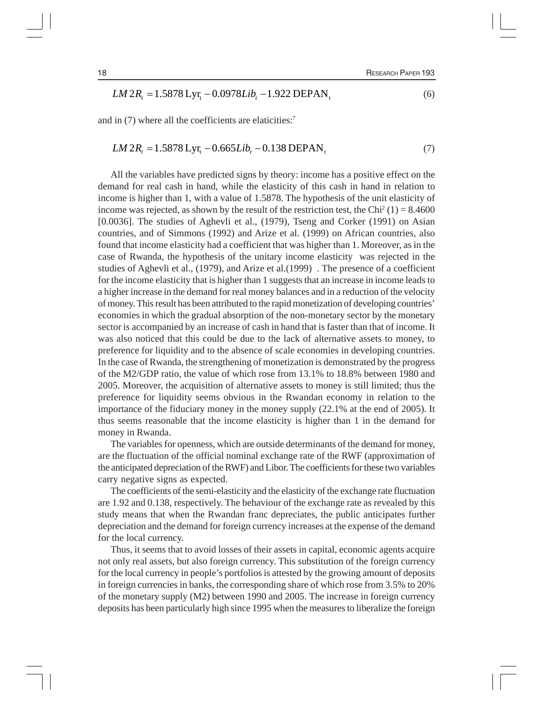$$
LM 2R_t = 1.5878 \text{ Lyr}_t - 0.0978 \text{Lib}_t - 1.922 \text{ DEPAN}_t \tag{6}
$$

and in (7) where all the coefficients are elaticities:7

#### $LM 2R_t = 1.5878 \text{ Lyr}_t - 0.665 \text{Lib}_t - 0.138 \text{ DEPAN}_t$  (7)

All the variables have predicted signs by theory: income has a positive effect on the demand for real cash in hand, while the elasticity of this cash in hand in relation to income is higher than 1, with a value of 1.5878. The hypothesis of the unit elasticity of income was rejected, as shown by the result of the restriction test, the Chi<sup>2</sup> (1) = 8.4600 [0.0036]. The studies of Aghevli et al., (1979), Tseng and Corker (1991) on Asian countries, and of Simmons (1992) and Arize et al. (1999) on African countries, also found that income elasticity had a coefficient that was higher than 1. Moreover, as in the case of Rwanda, the hypothesis of the unitary income elasticity was rejected in the studies of Aghevli et al., (1979), and Arize et al.(1999) . The presence of a coefficient for the income elasticity that is higher than 1 suggests that an increase in income leads to a higher increase in the demand for real money balances and in a reduction of the velocity of money. This result has been attributed to the rapid monetization of developing countries' economies in which the gradual absorption of the non-monetary sector by the monetary sector is accompanied by an increase of cash in hand that is faster than that of income. It was also noticed that this could be due to the lack of alternative assets to money, to preference for liquidity and to the absence of scale economies in developing countries. In the case of Rwanda, the strengthening of monetization is demonstrated by the progress of the M2/GDP ratio, the value of which rose from 13.1% to 18.8% between 1980 and 2005. Moreover, the acquisition of alternative assets to money is still limited; thus the preference for liquidity seems obvious in the Rwandan economy in relation to the importance of the fiduciary money in the money supply (22.1% at the end of 2005). It thus seems reasonable that the income elasticity is higher than 1 in the demand for money in Rwanda.

The variables for openness, which are outside determinants of the demand for money, are the fluctuation of the official nominal exchange rate of the RWF (approximation of the anticipated depreciation of the RWF) and Libor. The coefficients for these two variables carry negative signs as expected.

The coefficients of the semi-elasticity and the elasticity of the exchange rate fluctuation are 1.92 and 0.138, respectively. The behaviour of the exchange rate as revealed by this study means that when the Rwandan franc depreciates, the public anticipates further depreciation and the demand for foreign currency increases at the expense of the demand for the local currency.

Thus, it seems that to avoid losses of their assets in capital, economic agents acquire not only real assets, but also foreign currency. This substitution of the foreign currency for the local currency in people's portfolios is attested by the growing amount of deposits in foreign currencies in banks, the corresponding share of which rose from 3.5% to 20% of the monetary supply (M2) between 1990 and 2005. The increase in foreign currency deposits has been particularly high since 1995 when the measures to liberalize the foreign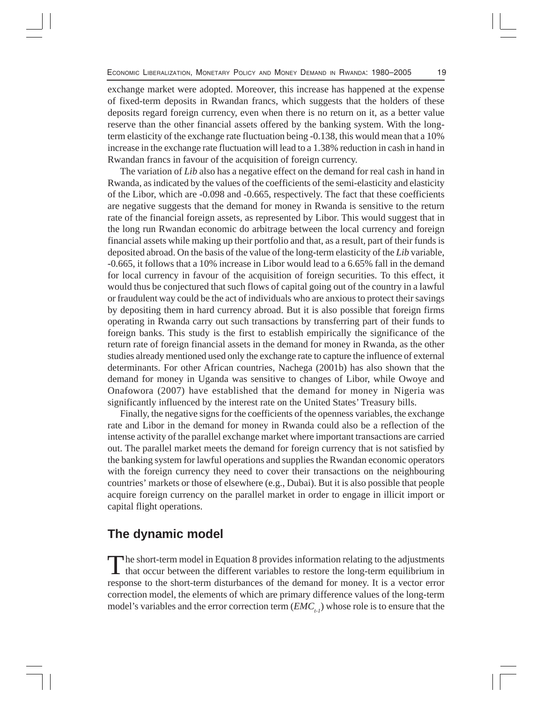exchange market were adopted. Moreover, this increase has happened at the expense of fixed-term deposits in Rwandan francs, which suggests that the holders of these deposits regard foreign currency, even when there is no return on it, as a better value reserve than the other financial assets offered by the banking system. With the longterm elasticity of the exchange rate fluctuation being -0.138, this would mean that a 10% increase in the exchange rate fluctuation will lead to a 1.38% reduction in cash in hand in Rwandan francs in favour of the acquisition of foreign currency.

The variation of *Lib* also has a negative effect on the demand for real cash in hand in Rwanda, as indicated by the values of the coefficients of the semi-elasticity and elasticity of the Libor, which are -0.098 and -0.665, respectively. The fact that these coefficients are negative suggests that the demand for money in Rwanda is sensitive to the return rate of the financial foreign assets, as represented by Libor. This would suggest that in the long run Rwandan economic do arbitrage between the local currency and foreign financial assets while making up their portfolio and that, as a result, part of their funds is deposited abroad. On the basis of the value of the long-term elasticity of the *Lib* variable, -0.665, it follows that a 10% increase in Libor would lead to a 6.65% fall in the demand for local currency in favour of the acquisition of foreign securities. To this effect, it would thus be conjectured that such flows of capital going out of the country in a lawful or fraudulent way could be the act of individuals who are anxious to protect their savings by depositing them in hard currency abroad. But it is also possible that foreign firms operating in Rwanda carry out such transactions by transferring part of their funds to foreign banks. This study is the first to establish empirically the significance of the return rate of foreign financial assets in the demand for money in Rwanda, as the other studies already mentioned used only the exchange rate to capture the influence of external determinants. For other African countries, Nachega (2001b) has also shown that the demand for money in Uganda was sensitive to changes of Libor, while Owoye and Onafowora (2007) have established that the demand for money in Nigeria was significantly influenced by the interest rate on the United States' Treasury bills.

Finally, the negative signs for the coefficients of the openness variables, the exchange rate and Libor in the demand for money in Rwanda could also be a reflection of the intense activity of the parallel exchange market where important transactions are carried out. The parallel market meets the demand for foreign currency that is not satisfied by the banking system for lawful operations and supplies the Rwandan economic operators with the foreign currency they need to cover their transactions on the neighbouring countries' markets or those of elsewhere (e.g., Dubai). But it is also possible that people acquire foreign currency on the parallel market in order to engage in illicit import or capital flight operations.

#### **The dynamic model**

The short-term model in Equation 8 provides information relating to the adjustments<br>that occur between the different variables to restore the long-term equilibrium in response to the short-term disturbances of the demand for money. It is a vector error correction model, the elements of which are primary difference values of the long-term model's variables and the error correction term  $(EMC_{t-1})$  whose role is to ensure that the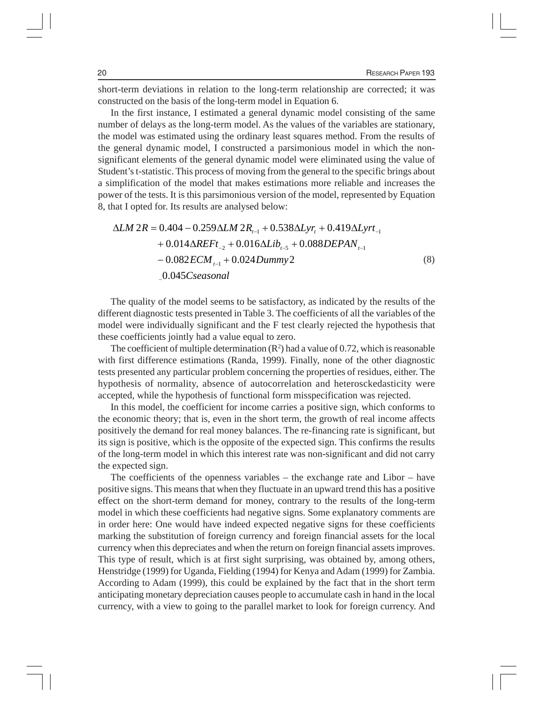short-term deviations in relation to the long-term relationship are corrected; it was constructed on the basis of the long-term model in Equation 6.

In the first instance, I estimated a general dynamic model consisting of the same number of delays as the long-term model. As the values of the variables are stationary, the model was estimated using the ordinary least squares method. From the results of the general dynamic model, I constructed a parsimonious model in which the nonsignificant elements of the general dynamic model were eliminated using the value of Student's t-statistic. This process of moving from the general to the specific brings about a simplification of the model that makes estimations more reliable and increases the power of the tests. It is this parsimonious version of the model, represented by Equation 8, that I opted for. Its results are analysed below:

$$
\Delta LM \, 2R = 0.404 - 0.259 \Delta LM \, 2R_{t-1} + 0.538 \Delta Lyr_t + 0.419 \Delta Lyr t_{-1} + 0.014 \Delta REF t_{-2} + 0.016 \Delta Lib_{t-5} + 0.088 DEPAN_{t-1} - 0.082 ECM_{t-1} + 0.024 Dummy2
$$
\n(8)

The quality of the model seems to be satisfactory, as indicated by the results of the different diagnostic tests presented in Table 3. The coefficients of all the variables of the model were individually significant and the F test clearly rejected the hypothesis that these coefficients jointly had a value equal to zero.

The coefficient of multiple determination  $(R^2)$  had a value of 0.72, which is reasonable with first difference estimations (Randa, 1999). Finally, none of the other diagnostic tests presented any particular problem concerning the properties of residues, either. The hypothesis of normality, absence of autocorrelation and heterosckedasticity were accepted, while the hypothesis of functional form misspecification was rejected.

In this model, the coefficient for income carries a positive sign, which conforms to the economic theory; that is, even in the short term, the growth of real income affects positively the demand for real money balances. The re-financing rate is significant, but its sign is positive, which is the opposite of the expected sign. This confirms the results of the long-term model in which this interest rate was non-significant and did not carry the expected sign.

The coefficients of the openness variables – the exchange rate and Libor – have positive signs. This means that when they fluctuate in an upward trend this has a positive effect on the short-term demand for money, contrary to the results of the long-term model in which these coefficients had negative signs. Some explanatory comments are in order here: One would have indeed expected negative signs for these coefficients marking the substitution of foreign currency and foreign financial assets for the local currency when this depreciates and when the return on foreign financial assets improves. This type of result, which is at first sight surprising, was obtained by, among others, Henstridge (1999) for Uganda, Fielding (1994) for Kenya and Adam (1999) for Zambia. According to Adam (1999), this could be explained by the fact that in the short term anticipating monetary depreciation causes people to accumulate cash in hand in the local currency, with a view to going to the parallel market to look for foreign currency. And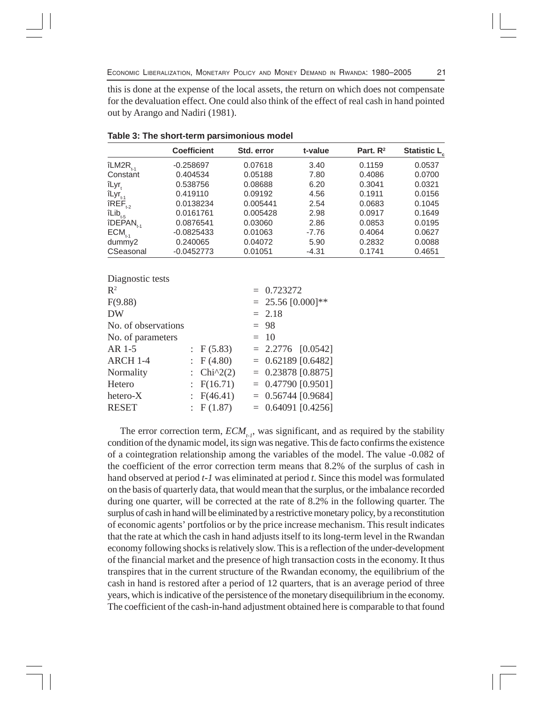ECONOMIC LIBERALIZATION, MONETARY POLICY AND MONEY DEMAND IN RWANDA: 1980–2005 21

this is done at the expense of the local assets, the return on which does not compensate for the devaluation effect. One could also think of the effect of real cash in hand pointed out by Arango and Nadiri (1981).

|                                                      | <b>Coefficient</b> | Std. error | t-value | Part, $R^2$ | Statistic L <sub>c</sub> |
|------------------------------------------------------|--------------------|------------|---------|-------------|--------------------------|
| $îLM2R_{.4}$                                         | $-0.258697$        | 0.07618    | 3.40    | 0.1159      | 0.0537                   |
| Constant                                             | 0.404534           | 0.05188    | 7.80    | 0.4086      | 0.0700                   |
| îLyr.                                                | 0.538756           | 0.08688    | 6.20    | 0.3041      | 0.0321                   |
| $îLyr_{t-1}$                                         | 0.419110           | 0.09192    | 4.56    | 0.1911      | 0.0156                   |
| $iREF_{t-2}$                                         | 0.0138234          | 0.005441   | 2.54    | 0.0683      | 0.1045                   |
| $\hat{\mathsf{ILib}}_{\mathsf{t}\text{-}\mathsf{5}}$ | 0.0161761          | 0.005428   | 2.98    | 0.0917      | 0.1649                   |
| $\hat{\mathsf{I}}$ DEPAN <sub>t-1</sub>              | 0.0876541          | 0.03060    | 2.86    | 0.0853      | 0.0195                   |
| $ECM$ <sub>t-1</sub>                                 | $-0.0825433$       | 0.01063    | $-7.76$ | 0.4064      | 0.0627                   |
| dummy2                                               | 0.240065           | 0.04072    | 5.90    | 0.2832      | 0.0088                   |
| CSeasonal                                            | $-0.0452773$       | 0.01051    | $-4.31$ | 0.1741      | 0.4651                   |

|  | Table 3: The short-term parsimonious model |  |
|--|--------------------------------------------|--|
|  |                                            |  |

|  |                                                                           | $= 0.723272$           |
|--|---------------------------------------------------------------------------|------------------------|
|  |                                                                           | $= 25.56 [0.000]^{**}$ |
|  |                                                                           | $= 2.18$               |
|  |                                                                           | $= 98$                 |
|  |                                                                           | $= 10$                 |
|  |                                                                           | $= 2.2776$ [0.0542]    |
|  |                                                                           | $= 0.62189 [0.6482]$   |
|  |                                                                           | $= 0.23878 [0.8875]$   |
|  |                                                                           | $= 0.47790 [0.9501]$   |
|  |                                                                           | $= 0.56744 [0.9684]$   |
|  |                                                                           | $= 0.64091 [0.4256]$   |
|  | F(5.83)<br>F(4.80)<br>: $Chi^2(2)$<br>: $F(16.71)$<br>F(46.41)<br>F(1.87) |                        |

The error correction term,  $ECM_{t-1}$ , was significant, and as required by the stability condition of the dynamic model, its sign was negative. This de facto confirms the existence of a cointegration relationship among the variables of the model. The value -0.082 of the coefficient of the error correction term means that 8.2% of the surplus of cash in hand observed at period *t-1* was eliminated at period *t*. Since this model was formulated on the basis of quarterly data, that would mean that the surplus, or the imbalance recorded during one quarter, will be corrected at the rate of 8.2% in the following quarter. The surplus of cash in hand will be eliminated by a restrictive monetary policy, by a reconstitution of economic agents' portfolios or by the price increase mechanism. This result indicates that the rate at which the cash in hand adjusts itself to its long-term level in the Rwandan economy following shocksis relatively slow. This is a reflection of the under-development of the financial market and the presence of high transaction costs in the economy. It thus transpires that in the current structure of the Rwandan economy, the equilibrium of the cash in hand is restored after a period of 12 quarters, that is an average period of three years, which is indicative of the persistence of the monetary disequilibrium in the economy. The coefficient of the cash-in-hand adjustment obtained here is comparable to that found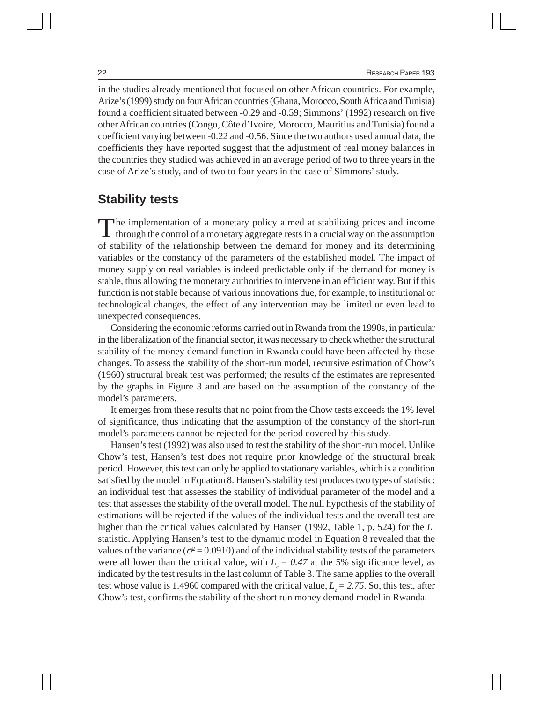in the studies already mentioned that focused on other African countries. For example, Arize's (1999) study on four African countries (Ghana, Morocco, South Africa and Tunisia) found a coefficient situated between -0.29 and -0.59; Simmons' (1992) research on five other African countries (Congo, Côte d'Ivoire, Morocco, Mauritius and Tunisia) found a coefficient varying between -0.22 and -0.56. Since the two authors used annual data, the coefficients they have reported suggest that the adjustment of real money balances in the countries they studied was achieved in an average period of two to three years in the case of Arize's study, and of two to four years in the case of Simmons' study.

#### **Stability tests**

The implementation of a monetary policy aimed at stabilizing prices and income  $\blacksquare$  through the control of a monetary aggregate rests in a crucial way on the assumption of stability of the relationship between the demand for money and its determining variables or the constancy of the parameters of the established model. The impact of money supply on real variables is indeed predictable only if the demand for money is stable, thus allowing the monetary authorities to intervene in an efficient way. But if this function is not stable because of various innovations due, for example, to institutional or technological changes, the effect of any intervention may be limited or even lead to unexpected consequences.

Considering the economic reforms carried out in Rwanda from the 1990s, in particular in the liberalization of the financial sector, it was necessary to check whether the structural stability of the money demand function in Rwanda could have been affected by those changes. To assess the stability of the short-run model, recursive estimation of Chow's (1960) structural break test was performed; the results of the estimates are represented by the graphs in Figure 3 and are based on the assumption of the constancy of the model's parameters.

It emerges from these results that no point from the Chow tests exceeds the 1% level of significance, thus indicating that the assumption of the constancy of the short-run model's parameters cannot be rejected for the period covered by this study.

Hansen's test (1992) was also used to test the stability of the short-run model. Unlike Chow's test, Hansen's test does not require prior knowledge of the structural break period. However, this test can only be applied to stationary variables, which is a condition satisfied by the model in Equation 8. Hansen's stability test produces two types of statistic: an individual test that assesses the stability of individual parameter of the model and a test that assesses the stability of the overall model. The null hypothesis of the stability of estimations will be rejected if the values of the individual tests and the overall test are higher than the critical values calculated by Hansen (1992, Table 1, p. 524) for the *L*<sub>c</sub> statistic. Applying Hansen's test to the dynamic model in Equation 8 revealed that the values of the variance ( $\sigma^2$  = 0.0910) and of the individual stability tests of the parameters were all lower than the critical value, with  $L_c = 0.47$  at the 5% significance level, as indicated by the test results in the last column of Table 3. The same applies to the overall test whose value is 1.4960 compared with the critical value,  $L<sub>c</sub> = 2.75$ . So, this test, after Chow's test, confirms the stability of the short run money demand model in Rwanda.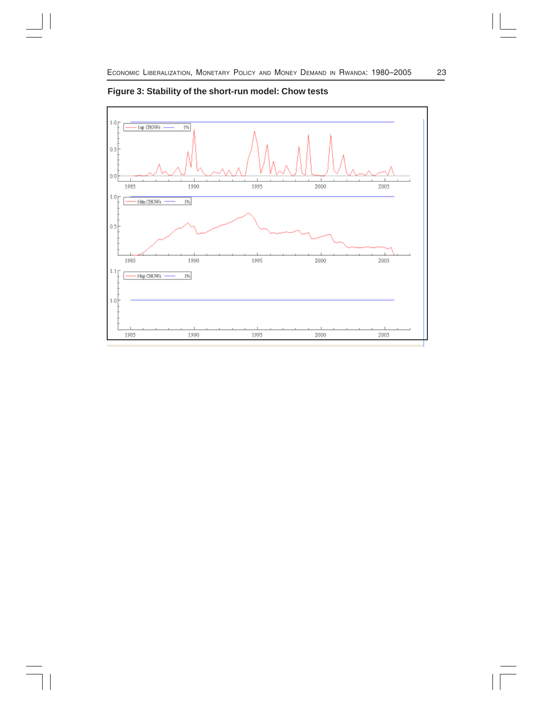

**Figure 3: Stability of the short-run model: Chow tests**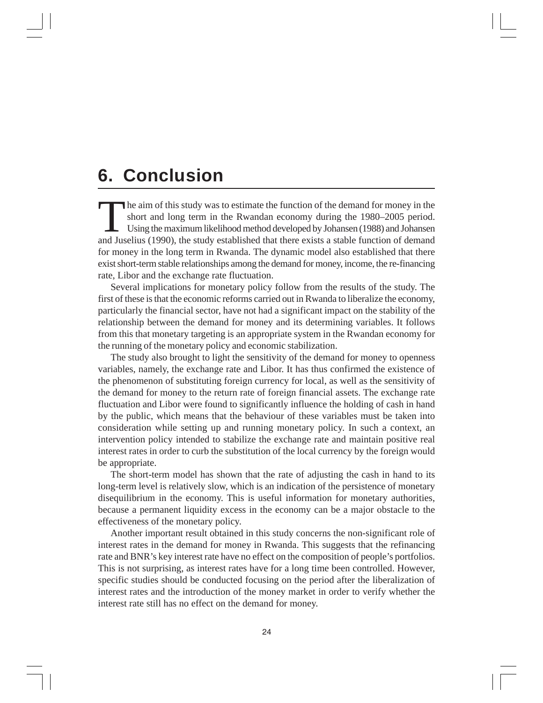### **6. Conclusion**

The aim of this study was to estimate the function of the demand for money in the short and long term in the Rwandan economy during the 1980–2005 period. Using the maximum likelihood method developed by Johansen (1988) and Johansen and Juselius (1990), the study established that there exists a stable function of demand for money in the long term in Rwanda. The dynamic model also established that there exist short-term stable relationships among the demand for money, income, the re-financing rate, Libor and the exchange rate fluctuation.

Several implications for monetary policy follow from the results of the study. The first of these is that the economic reforms carried out in Rwanda to liberalize the economy, particularly the financial sector, have not had a significant impact on the stability of the relationship between the demand for money and its determining variables. It follows from this that monetary targeting is an appropriate system in the Rwandan economy for the running of the monetary policy and economic stabilization.

The study also brought to light the sensitivity of the demand for money to openness variables, namely, the exchange rate and Libor. It has thus confirmed the existence of the phenomenon of substituting foreign currency for local, as well as the sensitivity of the demand for money to the return rate of foreign financial assets. The exchange rate fluctuation and Libor were found to significantly influence the holding of cash in hand by the public, which means that the behaviour of these variables must be taken into consideration while setting up and running monetary policy. In such a context, an intervention policy intended to stabilize the exchange rate and maintain positive real interest rates in order to curb the substitution of the local currency by the foreign would be appropriate.

The short-term model has shown that the rate of adjusting the cash in hand to its long-term level is relatively slow, which is an indication of the persistence of monetary disequilibrium in the economy. This is useful information for monetary authorities, because a permanent liquidity excess in the economy can be a major obstacle to the effectiveness of the monetary policy.

Another important result obtained in this study concerns the non-significant role of interest rates in the demand for money in Rwanda. This suggests that the refinancing rate and BNR's key interest rate have no effect on the composition of people's portfolios. This is not surprising, as interest rates have for a long time been controlled. However, specific studies should be conducted focusing on the period after the liberalization of interest rates and the introduction of the money market in order to verify whether the interest rate still has no effect on the demand for money.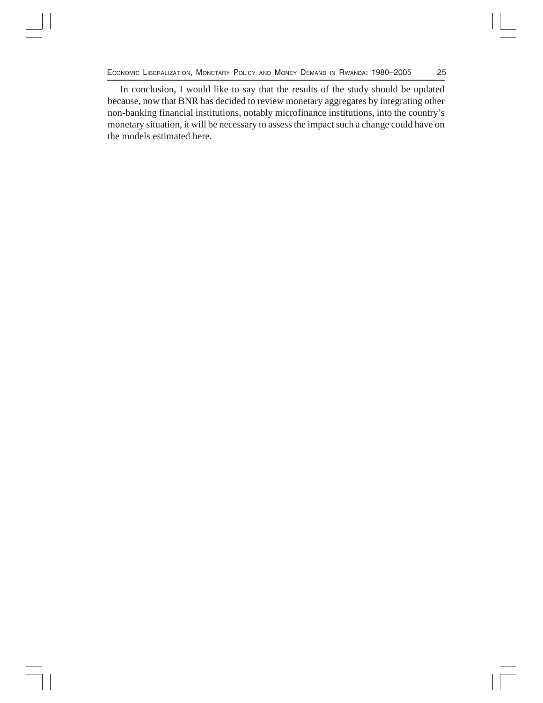ECONOMIC LIBERALIZATION, MONETARY POLICY AND MONEY DEMAND IN RWANDA: 1980-2005 25

In conclusion, I would like to say that the results of the study should be updated because, now that BNR has decided to review monetary aggregates by integrating other non-banking financial institutions, notably microfinance institutions, into the country's monetary situation, it will be necessary to assess the impact such a change could have on the models estimated here.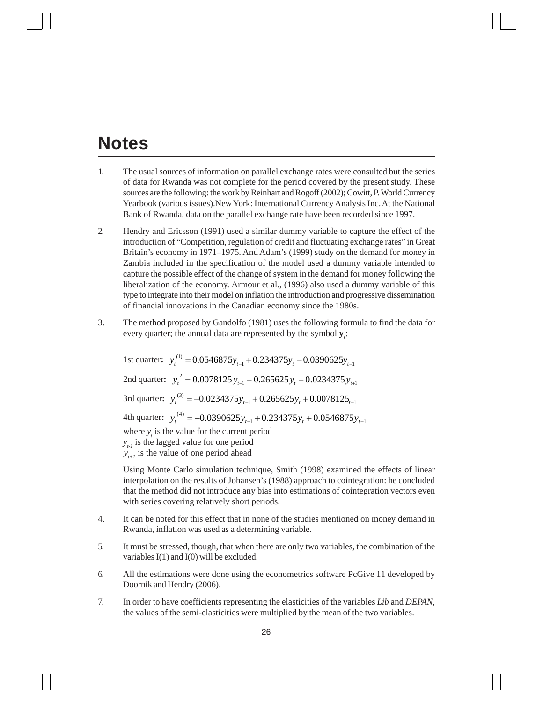### **Notes**

- 1. The usual sources of information on parallel exchange rates were consulted but the series of data for Rwanda was not complete for the period covered by the present study. These sources are the following: the work by Reinhart and Rogoff (2002); Cowitt, P. World Currency Yearbook (various issues).New York: International Currency Analysis Inc. At the National Bank of Rwanda, data on the parallel exchange rate have been recorded since 1997.
- 2. Hendry and Ericsson (1991) used a similar dummy variable to capture the effect of the introduction of "Competition, regulation of credit and fluctuating exchange rates" in Great Britain's economy in 1971–1975. And Adam's (1999) study on the demand for money in Zambia included in the specification of the model used a dummy variable intended to capture the possible effect of the change of system in the demand for money following the liberalization of the economy. Armour et al., (1996) also used a dummy variable of this type to integrate into their model on inflation the introduction and progressive dissemination of financial innovations in the Canadian economy since the 1980s.
- 3. The method proposed by Gandolfo (1981) uses the following formula to find the data for every quarter; the annual data are represented by the symbol  $y_i$ :

1st quarter:  $y_t^{(1)} = 0.0546875y_{t-1} + 0.234375y_t - 0.0390625y_{t+1}$ 2nd quarter:  $y_t^2 = 0.0078125 y_{t-1} + 0.265625 y_t - 0.0234375 y_{t+1}$ 3rd quarter:  $y_t^{(3)} = -0.0234375 y_{t-1} + 0.265625 y_t + 0.0078125_{t+1}$ 4th quarter:  $y_t^{(4)} = -0.0390625 y_{t-1} + 0.234375 y_t + 0.0546875 y_{t+1}$ where  $y_t$  is the value for the current period  $y_{t}$  is the lagged value for one period  $y_{t+1}$  is the value of one period ahead

Using Monte Carlo simulation technique, Smith (1998) examined the effects of linear interpolation on the results of Johansen's (1988) approach to cointegration: he concluded that the method did not introduce any bias into estimations of cointegration vectors even with series covering relatively short periods.

- 4. It can be noted for this effect that in none of the studies mentioned on money demand in Rwanda, inflation was used as a determining variable.
- 5. It must be stressed, though, that when there are only two variables, the combination of the variables  $I(1)$  and  $I(0)$  will be excluded.
- 6. All the estimations were done using the econometrics software PcGive 11 developed by Doornik and Hendry (2006).
- 7. In order to have coefficients representing the elasticities of the variables *Lib* and *DEPAN*, the values of the semi-elasticities were multiplied by the mean of the two variables.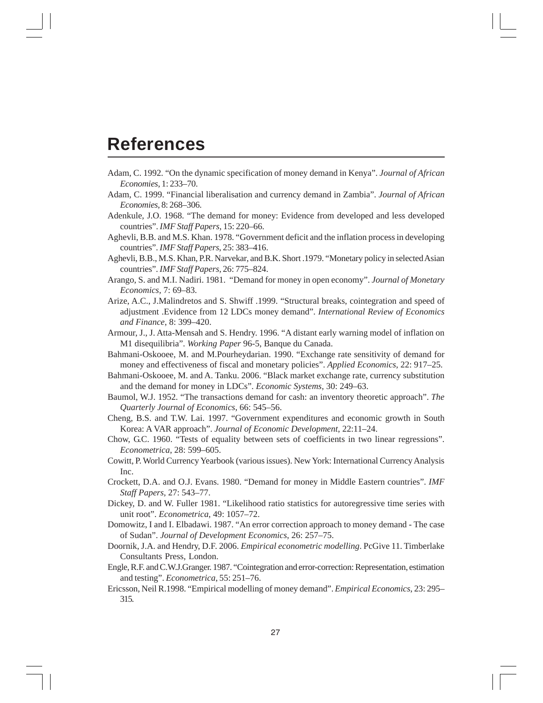### **References**

- Adam, C. 1992. "On the dynamic specification of money demand in Kenya". *Journal of African Economies*, 1: 233–70.
- Adam, C. 1999. "Financial liberalisation and currency demand in Zambia". *Journal of African Economies*, 8: 268–306.
- Adenkule, J.O. 1968. "The demand for money: Evidence from developed and less developed countries". *IMF Staff Papers*, 15: 220–66.
- Aghevli, B.B. and M.S. Khan. 1978. "Government deficit and the inflation process in developing countries". *IMF Staff Papers*, 25: 383–416.
- Aghevli, B.B., M.S. Khan, P.R. Narvekar, and B.K. Short .1979. "Monetary policy in selected Asian countries". *IMF Staff Papers,* 26: 775–824.
- Arango, S. and M.I. Nadiri. 1981. "Demand for money in open economy". *Journal of Monetary Economics,* 7: 69–83.
- Arize, A.C., J.Malindretos and S. Shwiff .1999. "Structural breaks, cointegration and speed of adjustment .Evidence from 12 LDCs money demand". *International Review of Economics and Finance*, 8: 399–420.
- Armour, J., J. Atta-Mensah and S. Hendry. 1996. "A distant early warning model of inflation on M1 disequilibria". *Working Paper* 96-5, Banque du Canada.
- Bahmani-Oskooee, M. and M.Pourheydarian. 1990. "Exchange rate sensitivity of demand for money and effectiveness of fiscal and monetary policies". *Applied Economics*, 22: 917–25.
- Bahmani-Oskooee, M. and A. Tanku. 2006. "Black market exchange rate, currency substitution and the demand for money in LDCs". *Economic Systems*, 30: 249–63.
- Baumol, W.J. 1952. "The transactions demand for cash: an inventory theoretic approach". *The Quarterly Journal of Economics*, 66: 545–56.
- Cheng, B.S. and T.W. Lai. 1997. "Government expenditures and economic growth in South Korea: A VAR approach". *Journal of Economic Development*, 22:11–24.
- Chow, G.C. 1960. "Tests of equality between sets of coefficients in two linear regressions". *Econometrica*, 28: 599–605.
- Cowitt, P. World Currency Yearbook (various issues). New York: International Currency Analysis Inc.
- Crockett, D.A. and O.J. Evans. 1980. "Demand for money in Middle Eastern countries". *IMF Staff Papers,* 27: 543–77.
- Dickey, D. and W. Fuller 1981. "Likelihood ratio statistics for autoregressive time series with unit root". *Econometrica*, 49: 1057–72.
- Domowitz, I and I. Elbadawi. 1987. "An error correction approach to money demand The case of Sudan". *Journal of Development Economics*, 26: 257–75.
- Doornik, J.A. and Hendry, D.F. 2006. *Empirical econometric modelling*. PcGive 11. Timberlake Consultants Press, London.
- Engle, R.F. and C.W.J.Granger. 1987. "Cointegration and error-correction: Representation, estimation and testing". *Econometrica*, 55: 251–76.
- Ericsson, Neil R.1998. "Empirical modelling of money demand". *Empirical Economics*, 23: 295– 315.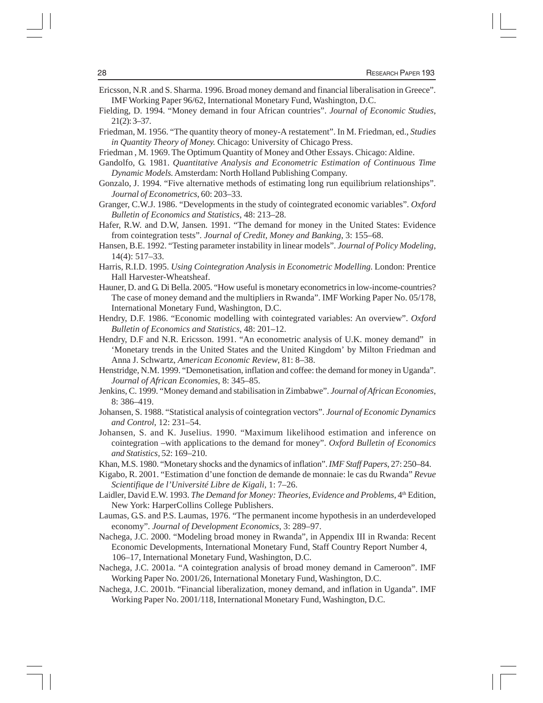- Ericsson, N.R .and S. Sharma. 1996. Broad money demand and financial liberalisation in Greece". IMF Working Paper 96/62, International Monetary Fund, Washington, D.C.
- Fielding, D. 1994. "Money demand in four African countries". *Journal of Economic Studies*, 21(2): 3–37.
- Friedman, M. 1956. "The quantity theory of money-A restatement". In M. Friedman, ed., *Studies in Quantity Theory of Money.* Chicago: University of Chicago Press.
- Friedman , M. 1969. The Optimum Quantity of Money and Other Essays. Chicago: Aldine.
- Gandolfo, G. 1981. *Quantitative Analysis and Econometric Estimation of Continuous Time Dynamic Models.* Amsterdam: North Holland Publishing Company.
- Gonzalo, J. 1994. "Five alternative methods of estimating long run equilibrium relationships". *Journal of Econometrics*, 60: 203–33.
- Granger, C.W.J. 1986. "Developments in the study of cointegrated economic variables". *Oxford Bulletin of Economics and Statistics,* 48: 213–28.
- Hafer, R.W. and D.W, Jansen. 1991. "The demand for money in the United States: Evidence from cointegration tests". *Journal of Credit, Money and Banking*, 3: 155–68.
- Hansen, B.E. 1992. "Testing parameter instability in linear models". *Journal of Policy Modeling*, 14(4): 517–33.
- Harris, R.I.D. 1995. *Using Cointegration Analysis in Econometric Modelling.* London: Prentice Hall Harvester-Wheatsheaf.
- Hauner, D. and G. Di Bella. 2005. "How useful is monetary econometrics in low-income-countries? The case of money demand and the multipliers in Rwanda". IMF Working Paper No. 05/178, International Monetary Fund, Washington, D.C.
- Hendry, D.F. 1986. "Economic modelling with cointegrated variables: An overview". *Oxford Bulletin of Economics and Statistics*, 48: 201–12.
- Hendry, D.F and N.R. Ericsson. 1991. "An econometric analysis of U.K. money demand" in 'Monetary trends in the United States and the United Kingdom' by Milton Friedman and Anna J. Schwartz, *American Economic Review*, 81: 8–38.
- Henstridge, N.M. 1999. "Demonetisation, inflation and coffee: the demand for money in Uganda". *Journal of African Economies*, 8: 345–85.
- Jenkins, C. 1999. "Money demand and stabilisation in Zimbabwe". *Journal of African Economies*, 8: 386–419.
- Johansen, S. 1988. "Statistical analysis of cointegration vectors". *Journal of Economic Dynamics and Control*, 12: 231–54.
- Johansen, S. and K. Juselius. 1990. "Maximum likelihood estimation and inference on cointegration –with applications to the demand for money". *Oxford Bulletin of Economics and Statistics,* 52: 169–210.
- Khan, M.S. 1980. "Monetary shocks and the dynamics of inflation". *IMF Staff Papers*, 27: 250–84.
- Kigabo, R. 2001. "Estimation d'une fonction de demande de monnaie: le cas du Rwanda" *Revue Scientifique de l'Université Libre de Kigali*, 1: 7–26.
- Laidler, David E.W. 1993. *The Demand for Money: Theories, Evidence and Problems*, 4<sup>th</sup> Edition, New York: HarperCollins College Publishers.
- Laumas, G.S. and P.S. Laumas, 1976. "The permanent income hypothesis in an underdeveloped economy". *Journal of Development Economics*, 3: 289–97.
- Nachega, J.C. 2000. "Modeling broad money in Rwanda", in Appendix III in Rwanda: Recent Economic Developments, International Monetary Fund, Staff Country Report Number 4, 106–17, International Monetary Fund, Washington, D.C.
- Nachega, J.C. 2001a. "A cointegration analysis of broad money demand in Cameroon". IMF Working Paper No. 2001/26, International Monetary Fund, Washington, D.C.
- Nachega, J.C. 2001b. "Financial liberalization, money demand, and inflation in Uganda". IMF Working Paper No. 2001/118, International Monetary Fund, Washington, D.C.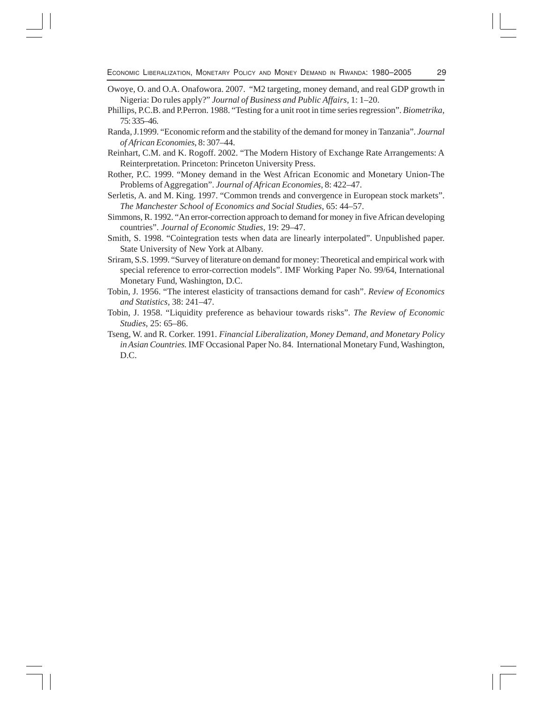- Owoye, O. and O.A. Onafowora. 2007. "M2 targeting, money demand, and real GDP growth in Nigeria: Do rules apply?" *Journal of Business and Public Affairs*, 1: 1–20.
- Phillips, P.C.B. and P.Perron. 1988. "Testing for a unit root in time series regression". *Biometrika*, 75: 335–46.
- Randa, J.1999. "Economic reform and the stability of the demand for money in Tanzania". *Journal of African Economies*, 8: 307–44.
- Reinhart, C.M. and K. Rogoff. 2002. "The Modern History of Exchange Rate Arrangements: A Reinterpretation. Princeton: Princeton University Press.
- Rother, P.C. 1999. "Money demand in the West African Economic and Monetary Union-The Problems of Aggregation". *Journal of African Economies*, 8: 422–47.
- Serletis, A. and M. King. 1997. "Common trends and convergence in European stock markets". *The Manchester School of Economics and Social Studies*, 65: 44–57.
- Simmons, R. 1992. "An error-correction approach to demand for money in five African developing countries". *Journal of Economic Studies*, 19: 29–47.
- Smith, S. 1998. "Cointegration tests when data are linearly interpolated". Unpublished paper. State University of New York at Albany.
- Sriram, S.S. 1999. "Survey of literature on demand for money: Theoretical and empirical work with special reference to error-correction models". IMF Working Paper No. 99/64, International Monetary Fund, Washington, D.C.
- Tobin, J. 1956. "The interest elasticity of transactions demand for cash". *Review of Economics and Statistics,* 38: 241–47.
- Tobin, J. 1958. "Liquidity preference as behaviour towards risks". *The Review of Economic Studies*, 25: 65–86.
- Tseng, W. and R. Corker. 1991. *Financial Liberalization, Money Demand, and Monetary Policy in Asian Countries.* IMF Occasional Paper No. 84. International Monetary Fund, Washington, D.C.